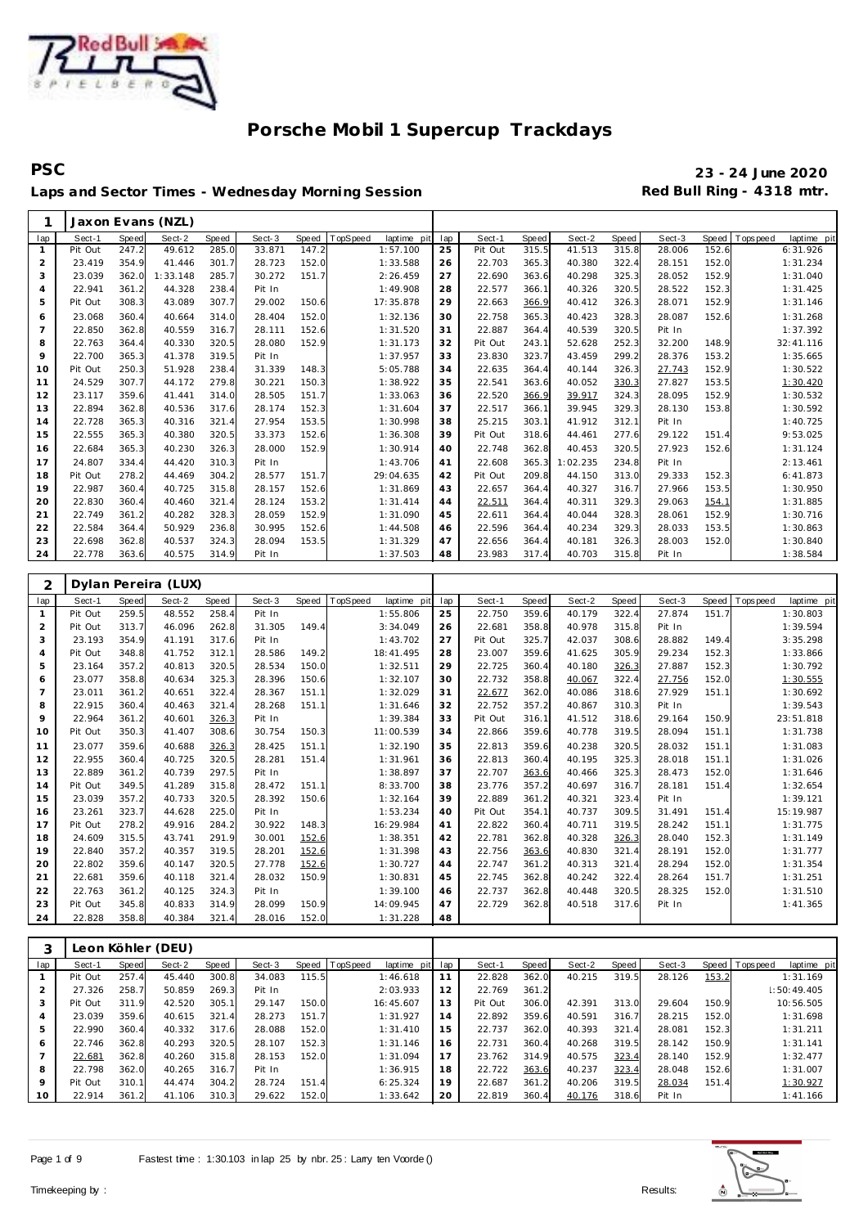

**PSC 23 - 24 June 2020** Laps and Sector Times - Wednesday Morning Session **Red Bull Ring - 4318 mtr.** 

| 1              |         |       | Jaxon Evans (NZL) |       |        |       |          |             |     |         |       |          |       |        |       |             |             |
|----------------|---------|-------|-------------------|-------|--------|-------|----------|-------------|-----|---------|-------|----------|-------|--------|-------|-------------|-------------|
| lap            | Sect-1  | Speed | Sect-2            | Speed | Sect-3 | Speed | TopSpeed | laptime pit | lap | Sect-1  | Speed | Sect-2   | Speed | Sect-3 | Speed | T ops pee d | laptime pit |
|                | Pit Out | 247.2 | 49.612            | 285.0 | 33.871 | 147.2 |          | 1:57.100    | 25  | Pit Out | 315.5 | 41.513   | 315.8 | 28.006 | 152.6 |             | 6:31.926    |
| 2              | 23.419  | 354.9 | 41.446            | 301.7 | 28.723 | 152.0 |          | 1:33.588    | 26  | 22.703  | 365.3 | 40.380   | 322.4 | 28.151 | 152.0 |             | 1:31.234    |
| 3              | 23.039  | 362.0 | 1:33.148          | 285.7 | 30.272 | 151.7 |          | 2:26.459    | 27  | 22.690  | 363.6 | 40.298   | 325.3 | 28.052 | 152.9 |             | 1:31.040    |
| $\overline{4}$ | 22.941  | 361.2 | 44.328            | 238.4 | Pit In |       |          | 1:49.908    | 28  | 22.577  | 366.1 | 40.326   | 320.5 | 28.522 | 152.3 |             | 1:31.425    |
| 5              | Pit Out | 308.3 | 43.089            | 307.7 | 29.002 | 150.6 |          | 17:35.878   | 29  | 22.663  | 366.9 | 40.412   | 326.3 | 28.071 | 152.9 |             | 1:31.146    |
| 6              | 23.068  | 360.4 | 40.664            | 314.0 | 28.404 | 152.0 |          | 1:32.136    | 30  | 22.758  | 365.3 | 40.423   | 328.3 | 28.087 | 152.6 |             | 1:31.268    |
| $\overline{7}$ | 22.850  | 362.8 | 40.559            | 316.7 | 28.111 | 152.6 |          | 1:31.520    | 31  | 22.887  | 364.4 | 40.539   | 320.5 | Pit In |       |             | 1:37.392    |
| 8              | 22.763  | 364.4 | 40.330            | 320.5 | 28.080 | 152.9 |          | 1:31.173    | 32  | Pit Out | 243.1 | 52.628   | 252.3 | 32.200 | 148.9 |             | 32:41.116   |
| 9              | 22.700  | 365.3 | 41.378            | 319.5 | Pit In |       |          | 1:37.957    | 33  | 23.830  | 323.7 | 43.459   | 299.2 | 28.376 | 153.2 |             | 1:35.665    |
| 10             | Pit Out | 250.3 | 51.928            | 238.4 | 31.339 | 148.3 |          | 5:05.788    | 34  | 22.635  | 364.4 | 40.144   | 326.3 | 27.743 | 152.9 |             | 1:30.522    |
| 11             | 24.529  | 307.7 | 44.172            | 279.8 | 30.221 | 150.3 |          | 1:38.922    | 35  | 22.541  | 363.6 | 40.052   | 330.3 | 27.827 | 153.5 |             | 1:30.420    |
| 12             | 23.117  | 359.6 | 41.441            | 314.0 | 28.505 | 151.7 |          | 1:33.063    | 36  | 22.520  | 366.9 | 39.917   | 324.3 | 28.095 | 152.9 |             | 1:30.532    |
| 13             | 22.894  | 362.8 | 40.536            | 317.6 | 28.174 | 152.3 |          | 1:31.604    | 37  | 22.517  | 366.1 | 39.945   | 329.3 | 28.130 | 153.8 |             | 1:30.592    |
| 14             | 22.728  | 365.3 | 40.316            | 321.4 | 27.954 | 153.5 |          | 1:30.998    | 38  | 25.215  | 303.1 | 41.912   | 312.1 | Pit In |       |             | 1:40.725    |
| 15             | 22.555  | 365.3 | 40.380            | 320.5 | 33.373 | 152.6 |          | 1:36.308    | 39  | Pit Out | 318.6 | 44.461   | 277.6 | 29.122 | 151.4 |             | 9:53.025    |
| 16             | 22.684  | 365.3 | 40.230            | 326.3 | 28,000 | 152.9 |          | 1:30.914    | 40  | 22.748  | 362.8 | 40.453   | 320.5 | 27.923 | 152.6 |             | 1:31.124    |
| 17             | 24.807  | 334.4 | 44.420            | 310.3 | Pit In |       |          | 1:43.706    | 41  | 22.608  | 365.3 | 1:02.235 | 234.8 | Pit In |       |             | 2:13.461    |
| 18             | Pit Out | 278.2 | 44.469            | 304.2 | 28.577 | 151.7 |          | 29:04.635   | 42  | Pit Out | 209.8 | 44.150   | 313.0 | 29.333 | 152.3 |             | 6:41.873    |
| 19             | 22.987  | 360.4 | 40.725            | 315.8 | 28.157 | 152.6 |          | 1:31.869    | 43  | 22.657  | 364.4 | 40.327   | 316.7 | 27.966 | 153.5 |             | 1:30.950    |
| 20             | 22.830  | 360.4 | 40.460            | 321.4 | 28.124 | 153.2 |          | 1:31.414    | 44  | 22.511  | 364.4 | 40.311   | 329.3 | 29.063 | 154.1 |             | 1:31.885    |
| 21             | 22.749  | 361.2 | 40.282            | 328.3 | 28.059 | 152.9 |          | 1:31.090    | 45  | 22.611  | 364.4 | 40.044   | 328.3 | 28.061 | 152.9 |             | 1:30.716    |
| 22             | 22.584  | 364.4 | 50.929            | 236.8 | 30.995 | 152.6 |          | 1:44.508    | 46  | 22.596  | 364.4 | 40.234   | 329.3 | 28.033 | 153.5 |             | 1:30.863    |
| 23             | 22.698  | 362.8 | 40.537            | 324.3 | 28.094 | 153.5 |          | 1:31.329    | 47  | 22.656  | 364.4 | 40.181   | 326.3 | 28.003 | 152.0 |             | 1:30.840    |
| 24             | 22.778  | 363.6 | 40.575            | 314.9 | Pit In |       |          | 1:37.503    | 48  | 23.983  | 317.4 | 40.703   | 315.8 | Pit In |       |             | 1:38.584    |

| 2              |         |       | Dylan Pereira (LUX) |       |        |       |                         |     |         |       |        |       |        |       |                 |             |
|----------------|---------|-------|---------------------|-------|--------|-------|-------------------------|-----|---------|-------|--------|-------|--------|-------|-----------------|-------------|
| lap            | Sect-1  | Speed | Sect-2              | Speed | Sect-3 | Speed | TopSpeed<br>laptime pit | lap | Sect-1  | Speed | Sect-2 | Speed | Sect-3 | Speed | <b>Topspeed</b> | laptime pit |
| $\mathbf{1}$   | Pit Out | 259.5 | 48.552              | 258.4 | Pit In |       | 1:55.806                | 25  | 22.750  | 359.6 | 40.179 | 322.4 | 27.874 | 151.7 |                 | 1:30.803    |
| $\overline{2}$ | Pit Out | 313.7 | 46.096              | 262.8 | 31.305 | 149.4 | 3:34.049                | 26  | 22.681  | 358.8 | 40.978 | 315.8 | Pit In |       |                 | 1:39.594    |
| 3              | 23.193  | 354.9 | 41.191              | 317.6 | Pit In |       | 1:43.702                | 27  | Pit Out | 325.7 | 42.037 | 308.6 | 28.882 | 149.4 |                 | 3:35.298    |
| $\overline{4}$ | Pit Out | 348.8 | 41.752              | 312.1 | 28.586 | 149.2 | 18:41.495               | 28  | 23.007  | 359.6 | 41.625 | 305.9 | 29.234 | 152.3 |                 | 1:33.866    |
| 5              | 23.164  | 357.2 | 40.813              | 320.5 | 28.534 | 150.0 | 1:32.511                | 29  | 22.725  | 360.4 | 40.180 | 326.3 | 27.887 | 152.3 |                 | 1:30.792    |
| 6              | 23.077  | 358.8 | 40.634              | 325.3 | 28.396 | 150.6 | 1:32.107                | 30  | 22.732  | 358.8 | 40.067 | 322.4 | 27.756 | 152.0 |                 | 1:30.555    |
| $\overline{7}$ | 23.011  | 361.2 | 40.651              | 322.4 | 28.367 | 151.1 | 1:32.029                | 31  | 22.677  | 362.0 | 40.086 | 318.6 | 27.929 | 151.1 |                 | 1:30.692    |
| 8              | 22.915  | 360.4 | 40.463              | 321.4 | 28.268 | 151.1 | 1:31.646                | 32  | 22.752  | 357.2 | 40.867 | 310.3 | Pit In |       |                 | 1:39.543    |
| 9              | 22.964  | 361.2 | 40.601              | 326.3 | Pit In |       | 1:39.384                | 33  | Pit Out | 316.1 | 41.512 | 318.6 | 29.164 | 150.9 |                 | 23:51.818   |
| 10             | Pit Out | 350.3 | 41.407              | 308.6 | 30.754 | 150.3 | 11:00.539               | 34  | 22.866  | 359.6 | 40.778 | 319.5 | 28.094 | 151.1 |                 | 1:31.738    |
| 11             | 23.077  | 359.6 | 40.688              | 326.3 | 28.425 | 151.1 | 1:32.190                | 35  | 22.813  | 359.6 | 40.238 | 320.5 | 28.032 | 151.1 |                 | 1:31.083    |
| 12             | 22.955  | 360.4 | 40.725              | 320.5 | 28.281 | 151.4 | 1:31.961                | 36  | 22.813  | 360.4 | 40.195 | 325.3 | 28.018 | 151.1 |                 | 1:31.026    |
| 13             | 22.889  | 361.2 | 40.739              | 297.5 | Pit In |       | 1:38.897                | 37  | 22.707  | 363.6 | 40.466 | 325.3 | 28.473 | 152.0 |                 | 1:31.646    |
| 14             | Pit Out | 349.5 | 41.289              | 315.8 | 28.472 | 151.1 | 8:33.700                | 38  | 23.776  | 357.2 | 40.697 | 316.7 | 28.181 | 151.4 |                 | 1:32.654    |
| 15             | 23.039  | 357.2 | 40.733              | 320.5 | 28.392 | 150.6 | 1:32.164                | 39  | 22.889  | 361.2 | 40.321 | 323.4 | Pit In |       |                 | 1:39.121    |
| 16             | 23.261  | 323.7 | 44.628              | 225.0 | Pit In |       | 1:53.234                | 40  | Pit Out | 354.1 | 40.737 | 309.5 | 31.491 | 151.4 |                 | 15:19.987   |
| 17             | Pit Out | 278.2 | 49.916              | 284.2 | 30.922 | 148.3 | 16:29.984               | 41  | 22.822  | 360.4 | 40.711 | 319.5 | 28.242 | 151.1 |                 | 1:31.775    |
| 18             | 24.609  | 315.5 | 43.741              | 291.9 | 30.001 | 152.6 | 1:38.351                | 42  | 22.781  | 362.8 | 40.328 | 326.3 | 28.040 | 152.3 |                 | 1:31.149    |
| 19             | 22.840  | 357.2 | 40.357              | 319.5 | 28.201 | 152.6 | 1:31.398                | 43  | 22.756  | 363.6 | 40.830 | 321.4 | 28.191 | 152.0 |                 | 1:31.777    |
| 20             | 22.802  | 359.6 | 40.147              | 320.5 | 27.778 | 152.6 | 1:30.727                | 44  | 22.747  | 361.2 | 40.313 | 321.4 | 28.294 | 152.0 |                 | 1:31.354    |
| 21             | 22.681  | 359.6 | 40.118              | 321.4 | 28.032 | 150.9 | 1:30.831                | 45  | 22.745  | 362.8 | 40.242 | 322.4 | 28.264 | 151.7 |                 | 1:31.251    |
| 22             | 22.763  | 361.2 | 40.125              | 324.3 | Pit In |       | 1:39.100                | 46  | 22.737  | 362.8 | 40.448 | 320.5 | 28.325 | 152.0 |                 | 1:31.510    |
| 23             | Pit Out | 345.8 | 40.833              | 314.9 | 28.099 | 150.9 | 14:09.945               | 47  | 22.729  | 362.8 | 40.518 | 317.6 | Pit In |       |                 | 1:41.365    |
| 24             | 22.828  | 358.8 | 40.384              | 321.4 | 28.016 | 152.0 | 1:31.228                | 48  |         |       |        |       |        |       |                 |             |

|     |         |       | Leon Köhler (DEU) |       |        |       |          |                 |    |         |       |        |       |        |       |                               |
|-----|---------|-------|-------------------|-------|--------|-------|----------|-----------------|----|---------|-------|--------|-------|--------|-------|-------------------------------|
| lap | Sect-1  | Speed | Sect-2            | Speed | Sect-3 | Speed | TopSpeed | laptime pit lap |    | Sect-1  | Speed | Sect-2 | Speed | Sect-3 |       | Speed Topspeed<br>laptime pit |
|     | Pit Out | 257.4 | 45.440            | 300.8 | 34.083 | 115.5 |          | 1:46.618        |    | 22.828  | 362.0 | 40.215 | 319.5 | 28.126 | 153.2 | 1:31.169                      |
| 2   | 27.326  | 258.7 | 50.859            | 269.3 | Pit In |       |          | 2:03.933        | 12 | 22.769  | 361.2 |        |       |        |       | 1:50:49.405                   |
| 3   | Pit Out | 311.9 | 42.520            | 305.1 | 29.147 | 150.0 |          | 16:45.607       | 13 | Pit Out | 306.0 | 42.391 | 313.0 | 29.604 | 150.9 | 10:56.505                     |
| 4   | 23.039  | 359.6 | 40.615            | 321.4 | 28.273 | 151.7 |          | 1:31.927        | 14 | 22.892  | 359.6 | 40.591 | 316.7 | 28.215 | 152.0 | 1:31.698                      |
| 5   | 22.990  | 360.4 | 40.332            | 317.6 | 28.088 | 152.0 |          | 1:31.410        | 15 | 22.737  | 362.0 | 40.393 | 321.4 | 28.081 | 152.3 | 1:31.211                      |
| 6   | 22.746  | 362.8 | 40.293            | 320.5 | 28.107 | 152.3 |          | 1:31.146        | 16 | 22.731  | 360.4 | 40.268 | 319.5 | 28.142 | 150.9 | 1:31.141                      |
|     | 22.681  | 362.8 | 40.260            | 315.8 | 28.153 | 152.0 |          | 1:31.094        |    | 23.762  | 314.9 | 40.575 | 323.4 | 28.140 | 152.9 | 1:32.477                      |
| 8   | 22.798  | 362.0 | 40.265            | 316.7 | Pit In |       |          | 1:36.915        | 18 | 22.722  | 363.6 | 40.237 | 323.4 | 28.048 | 152.6 | 1:31.007                      |
| 9   | Pit Out | 310.1 | 44.474            | 304.2 | 28.724 | 151.4 |          | 6:25.324        | 19 | 22.687  | 361.2 | 40.206 | 319.5 | 28.034 | 151.4 | 1:30.927                      |
| 10  | 22.914  | 361.2 | 41.106            | 310.3 | 29.622 | 152.0 |          | 1:33.642        | 20 | 22.819  | 360.4 | 40.176 | 318.6 | Pit In |       | 1:41.166                      |

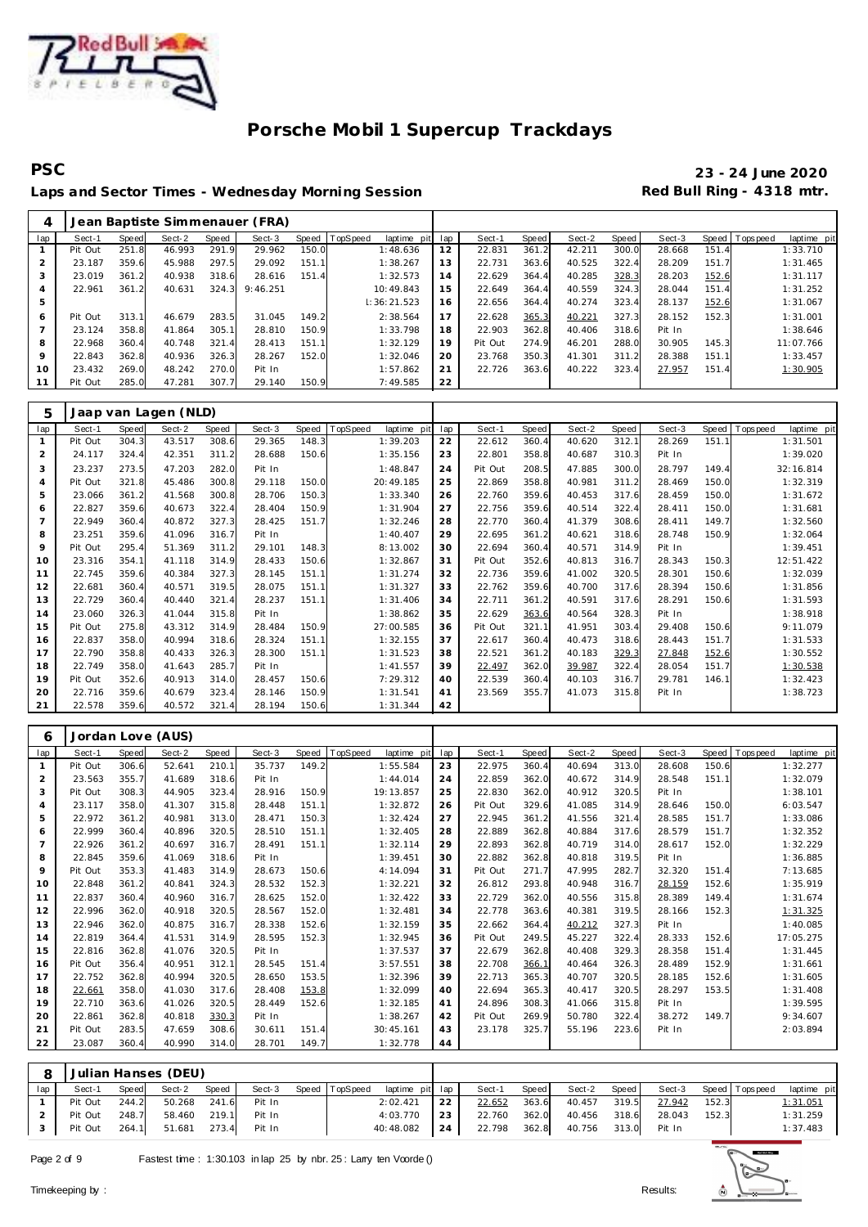

**PSC 23 - 24 June 2020** Laps and Sector Times - Wednesday Morning Session **Red Bull Ring - 4318 mtr.** 

| 4              |         |       |        |       | Jean Baptiste Simmenauer (FRA) |       |             |             |     |         |       |        |       |        |       |                |             |
|----------------|---------|-------|--------|-------|--------------------------------|-------|-------------|-------------|-----|---------|-------|--------|-------|--------|-------|----------------|-------------|
| lap            | Sect-1  | Speed | Sect-2 | Speed | Sect-3                         | Speed | TopSpeed    | laptime pit | lap | Sect-1  | Speed | Sect-2 | Speed | Sect-3 |       | Speed Topspeed | laptime pit |
|                | Pit Out | 251.8 | 46.993 | 291.9 | 29.962                         | 150.0 |             | 1:48.636    | 12  | 22.831  | 361.2 | 42.211 | 300.0 | 28.668 | 151.4 |                | 1:33.710    |
|                | 23.187  | 359.6 | 45.988 | 297.5 | 29.092                         | 151.1 |             | 1:38.267    | 13  | 22.731  | 363.6 | 40.525 | 322.4 | 28.209 | 151.7 |                | 1:31.465    |
| 3              | 23.019  | 361.2 | 40.938 | 318.6 | 28.616                         | 151.4 |             | 1:32.573    | 14  | 22.629  | 364.4 | 40.285 | 328.3 | 28.203 | 152.6 |                | 1:31.117    |
| $\overline{4}$ | 22.961  | 361.2 | 40.631 | 324.3 | 9:46.251                       |       | 10:49.843   |             | 15  | 22.649  | 364.4 | 40.559 | 324.3 | 28.044 | 151.4 |                | 1:31.252    |
| 5              |         |       |        |       |                                |       | 1:36:21.523 |             | 16  | 22.656  | 364.4 | 40.274 | 323.4 | 28.137 | 152.6 |                | 1:31.067    |
| 6              | Pit Out | 313.1 | 46.679 | 283.5 | 31.045                         | 149.2 |             | 2:38.564    | 17  | 22.628  | 365.3 | 40.221 | 327.3 | 28.152 | 152.3 |                | 1:31.001    |
|                | 23.124  | 358.8 | 41.864 | 305.1 | 28.810                         | 150.9 |             | 1:33.798    | 18  | 22.903  | 362.8 | 40.406 | 318.6 | Pit In |       |                | 1:38.646    |
| 8              | 22.968  | 360.4 | 40.748 | 321.4 | 28.413                         | 151.1 |             | 1:32.129    | 19  | Pit Out | 274.9 | 46.201 | 288.0 | 30.905 | 145.3 |                | 11:07.766   |
| 9              | 22.843  | 362.8 | 40.936 | 326.3 | 28.267                         | 152.0 |             | 1:32.046    | 20  | 23.768  | 350.3 | 41.301 | 311.2 | 28.388 | 151.1 |                | 1:33.457    |
| 10             | 23.432  | 269.0 | 48.242 | 270.0 | Pit In                         |       |             | 1:57.862    | 21  | 22.726  | 363.6 | 40.222 | 323.4 | 27.957 | 151.4 |                | 1:30.905    |
| 11             | Pit Out | 285.0 | 47.281 | 307.7 | 29.140                         | 150.9 |             | 7:49.585    | 22  |         |       |        |       |        |       |                |             |

| 5              |         |              | Jaap van Lagen (NLD) |       |        |       |                                |     |         |       |        |       |        |       |            |             |
|----------------|---------|--------------|----------------------|-------|--------|-------|--------------------------------|-----|---------|-------|--------|-------|--------|-------|------------|-------------|
| lap            | Sect-1  | <b>Speed</b> | Sect-2               | Speed | Sect-3 | Speed | <b>TopSpeed</b><br>laptime pit | lap | Sect-1  | Speed | Sect-2 | Speed | Sect-3 | Speed | T ops peed | laptime pit |
|                | Pit Out | 304.3        | 43.517               | 308.6 | 29.365 | 148.3 | 1:39.203                       | 22  | 22.612  | 360.4 | 40.620 | 312.1 | 28.269 | 151.1 |            | 1:31.501    |
| 2              | 24.117  | 324.4        | 42.351               | 311.2 | 28.688 | 150.6 | 1:35.156                       | 23  | 22.801  | 358.8 | 40.687 | 310.3 | Pit In |       |            | 1:39.020    |
| 3              | 23.237  | 273.5        | 47.203               | 282.0 | Pit In |       | 1:48.847                       | 24  | Pit Out | 208.5 | 47.885 | 300.0 | 28.797 | 149.4 |            | 32:16.814   |
| $\overline{4}$ | Pit Out | 321.8        | 45.486               | 300.8 | 29.118 | 150.0 | 20:49.185                      | 25  | 22.869  | 358.8 | 40.981 | 311.2 | 28.469 | 150.0 |            | 1:32.319    |
| 5              | 23.066  | 361.2        | 41.568               | 300.8 | 28.706 | 150.3 | 1:33.340                       | 26  | 22.760  | 359.6 | 40.453 | 317.6 | 28.459 | 150.0 |            | 1:31.672    |
| 6              | 22.827  | 359.6        | 40.673               | 322.4 | 28.404 | 150.9 | 1:31.904                       | 27  | 22.756  | 359.6 | 40.514 | 322.4 | 28.411 | 150.0 |            | 1:31.681    |
| $\overline{7}$ | 22.949  | 360.4        | 40.872               | 327.3 | 28.425 | 151.7 | 1:32.246                       | 28  | 22.770  | 360.4 | 41.379 | 308.6 | 28.411 | 149.7 |            | 1:32.560    |
| 8              | 23.251  | 359.6        | 41.096               | 316.7 | Pit In |       | 1:40.407                       | 29  | 22.695  | 361.2 | 40.621 | 318.6 | 28.748 | 150.9 |            | 1:32.064    |
| 9              | Pit Out | 295.4        | 51.369               | 311.2 | 29.101 | 148.3 | 8:13.002                       | 30  | 22.694  | 360.4 | 40.571 | 314.9 | Pit In |       |            | 1:39.451    |
| 10             | 23.316  | 354.1        | 41.118               | 314.9 | 28.433 | 150.6 | 1:32.867                       | 31  | Pit Out | 352.6 | 40.813 | 316.7 | 28.343 | 150.3 |            | 12:51.422   |
| 11             | 22.745  | 359.6        | 40.384               | 327.3 | 28.145 | 151.1 | 1:31.274                       | 32  | 22.736  | 359.6 | 41.002 | 320.5 | 28.301 | 150.6 |            | 1:32.039    |
| 12             | 22.681  | 360.4        | 40.571               | 319.5 | 28.075 | 151.1 | 1:31.327                       | 33  | 22.762  | 359.6 | 40.700 | 317.6 | 28.394 | 150.6 |            | 1:31.856    |
| 13             | 22.729  | 360.4        | 40.440               | 321.4 | 28.237 | 151.1 | 1:31.406                       | 34  | 22.711  | 361.2 | 40.591 | 317.6 | 28.291 | 150.6 |            | 1:31.593    |
| 14             | 23.060  | 326.3        | 41.044               | 315.8 | Pit In |       | 1:38.862                       | 35  | 22.629  | 363.6 | 40.564 | 328.3 | Pit In |       |            | 1:38.918    |
| 15             | Pit Out | 275.8        | 43.312               | 314.9 | 28.484 | 150.9 | 27:00.585                      | 36  | Pit Out | 321.1 | 41.951 | 303.4 | 29.408 | 150.6 |            | 9:11.079    |
| 16             | 22.837  | 358.0        | 40.994               | 318.6 | 28.324 | 151.1 | 1:32.155                       | 37  | 22.617  | 360.4 | 40.473 | 318.6 | 28.443 | 151.7 |            | 1:31.533    |
| 17             | 22.790  | 358.8        | 40.433               | 326.3 | 28.300 | 151.1 | 1:31.523                       | 38  | 22.521  | 361.2 | 40.183 | 329.3 | 27.848 | 152.6 |            | 1:30.552    |
| 18             | 22.749  | 358.0        | 41.643               | 285.7 | Pit In |       | 1:41.557                       | 39  | 22.497  | 362.0 | 39.987 | 322.4 | 28.054 | 151.7 |            | 1:30.538    |
| 19             | Pit Out | 352.6        | 40.913               | 314.0 | 28.457 | 150.6 | 7:29.312                       | 40  | 22.539  | 360.4 | 40.103 | 316.7 | 29.781 | 146.1 |            | 1:32.423    |
| 20             | 22.716  | 359.6        | 40.679               | 323.4 | 28.146 | 150.9 | 1:31.541                       | 41  | 23.569  | 355.7 | 41.073 | 315.8 | Pit In |       |            | 1:38.723    |
| 21             | 22.578  | 359.6        | 40.572               | 321.4 | 28.194 | 150.6 | 1:31.344                       | 42  |         |       |        |       |        |       |            |             |

| 6   |         |              | Jordan Love (AUS) |       |        |       |                         |     |         |       |        |       |        |       |          |             |
|-----|---------|--------------|-------------------|-------|--------|-------|-------------------------|-----|---------|-------|--------|-------|--------|-------|----------|-------------|
| lap | Sect-1  | <b>Speed</b> | Sect-2            | Speed | Sect-3 | Speed | TopSpeed<br>laptime pit | lap | Sect-1  | Speed | Sect-2 | Speed | Sect-3 | Speed | Topspeed | laptime pit |
|     | Pit Out | 306.6        | 52.641            | 210.1 | 35.737 | 149.2 | 1:55.584                | 23  | 22.975  | 360.4 | 40.694 | 313.0 | 28.608 | 150.6 |          | 1:32.277    |
| 2   | 23.563  | 355.7        | 41.689            | 318.6 | Pit In |       | 1:44.014                | 24  | 22.859  | 362.0 | 40.672 | 314.9 | 28.548 | 151.1 |          | 1:32.079    |
| 3   | Pit Out | 308.3        | 44.905            | 323.4 | 28.916 | 150.9 | 19:13.857               | 25  | 22.830  | 362.0 | 40.912 | 320.5 | Pit In |       |          | 1:38.101    |
| 4   | 23.117  | 358.0        | 41.307            | 315.8 | 28.448 | 151.1 | 1:32.872                | 26  | Pit Out | 329.6 | 41.085 | 314.9 | 28.646 | 150.0 |          | 6:03.547    |
| 5   | 22.972  | 361.2        | 40.981            | 313.0 | 28.471 | 150.3 | 1:32.424                | 27  | 22.945  | 361.2 | 41.556 | 321.4 | 28.585 | 151.7 |          | 1:33.086    |
| 6   | 22.999  | 360.4        | 40.896            | 320.5 | 28.510 | 151.1 | 1:32.405                | 28  | 22.889  | 362.8 | 40.884 | 317.6 | 28.579 | 151.7 |          | 1:32.352    |
| 7   | 22.926  | 361.2        | 40.697            | 316.7 | 28.491 | 151.1 | 1:32.114                | 29  | 22.893  | 362.8 | 40.719 | 314.0 | 28.617 | 152.0 |          | 1:32.229    |
| 8   | 22.845  | 359.6        | 41.069            | 318.6 | Pit In |       | 1:39.451                | 30  | 22.882  | 362.8 | 40.818 | 319.5 | Pit In |       |          | 1:36.885    |
| 9   | Pit Out | 353.3        | 41.483            | 314.9 | 28.673 | 150.6 | 4:14.094                | 31  | Pit Out | 271.7 | 47.995 | 282.7 | 32.320 | 151.4 |          | 7:13.685    |
| 10  | 22.848  | 361.2        | 40.841            | 324.3 | 28.532 | 152.3 | 1:32.221                | 32  | 26.812  | 293.8 | 40.948 | 316.7 | 28.159 | 152.6 |          | 1:35.919    |
| 11  | 22.837  | 360.4        | 40.960            | 316.7 | 28.625 | 152.0 | 1:32.422                | 33  | 22.729  | 362.0 | 40.556 | 315.8 | 28.389 | 149.4 |          | 1:31.674    |
| 12  | 22.996  | 362.0        | 40.918            | 320.5 | 28.567 | 152.0 | 1:32.481                | 34  | 22.778  | 363.6 | 40.381 | 319.5 | 28.166 | 152.3 |          | 1:31.325    |
| 13  | 22.946  | 362.0        | 40.875            | 316.7 | 28.338 | 152.6 | 1:32.159                | 35  | 22.662  | 364.4 | 40.212 | 327.3 | Pit In |       |          | 1:40.085    |
| 14  | 22.819  | 364.4        | 41.531            | 314.9 | 28.595 | 152.3 | 1:32.945                | 36  | Pit Out | 249.5 | 45.227 | 322.4 | 28.333 | 152.6 |          | 17:05.275   |
| 15  | 22.816  | 362.8        | 41.076            | 320.5 | Pit In |       | 1:37.537                | 37  | 22.679  | 362.8 | 40.408 | 329.3 | 28.358 | 151.4 |          | 1:31.445    |
| 16  | Pit Out | 356.4        | 40.951            | 312.1 | 28.545 | 151.4 | 3:57.551                | 38  | 22.708  | 366.1 | 40.464 | 326.3 | 28.489 | 152.9 |          | 1:31.661    |
| 17  | 22.752  | 362.8        | 40.994            | 320.5 | 28.650 | 153.5 | 1:32.396                | 39  | 22.713  | 365.3 | 40.707 | 320.5 | 28.185 | 152.6 |          | 1:31.605    |
| 18  | 22.661  | 358.0        | 41.030            | 317.6 | 28.408 | 153.8 | 1:32.099                | 40  | 22.694  | 365.3 | 40.417 | 320.5 | 28.297 | 153.5 |          | 1:31.408    |
| 19  | 22.710  | 363.6        | 41.026            | 320.5 | 28.449 | 152.6 | 1:32.185                | 41  | 24.896  | 308.3 | 41.066 | 315.8 | Pit In |       |          | 1:39.595    |
| 20  | 22.861  | 362.8        | 40.818            | 330.3 | Pit In |       | 1:38.267                | 42  | Pit Out | 269.9 | 50.780 | 322.4 | 38.272 | 149.7 |          | 9:34.607    |
| 21  | Pit Out | 283.5        | 47.659            | 308.6 | 30.611 | 151.4 | 30:45.161               | 43  | 23.178  | 325.7 | 55.196 | 223.6 | Pit In |       |          | 2:03.894    |
| 22  | 23.087  | 360.4        | 40.990            | 314.0 | 28.701 | 149.7 | 1:32.778                | 44  |         |       |        |       |        |       |          |             |

| 8   |         |       | Julian Hanses (DEU) |       |        |                       |                 |             |              |       |                                  |       |        |       |                       |             |
|-----|---------|-------|---------------------|-------|--------|-----------------------|-----------------|-------------|--------------|-------|----------------------------------|-------|--------|-------|-----------------------|-------------|
| lap | Sect-1  | Speed | Sect-2              | Speed |        | Sect-3 Speed TopSpeed | laptime pit lap |             | Sect-1       | Speed | Sect-2                           | Speed |        |       | Sect-3 Speed Topspeed | laptime pit |
|     | Pit Out | 244.2 | 50.268 241.6        |       | Pit In |                       | 2:02.421        | 22          | 22.652       | 363.6 | 40.457 319.5                     |       | 27.942 | 152.3 |                       | 1:31.051    |
|     | Pit Out | 248.7 | 58.460 219.1        |       | Pit In |                       | 4:03.770        | 23          | 22.760 362.0 |       | 40.456 318.6                     |       | 28.043 | 152.3 |                       | 1:31.259    |
|     | Pit Out |       | 264.1 51.681 273.4  |       | Pit In |                       | 40:48.082       | $\sqrt{24}$ |              |       | 22.798 362.8 40.756 313.0 Pit In |       |        |       |                       | 1:37.483    |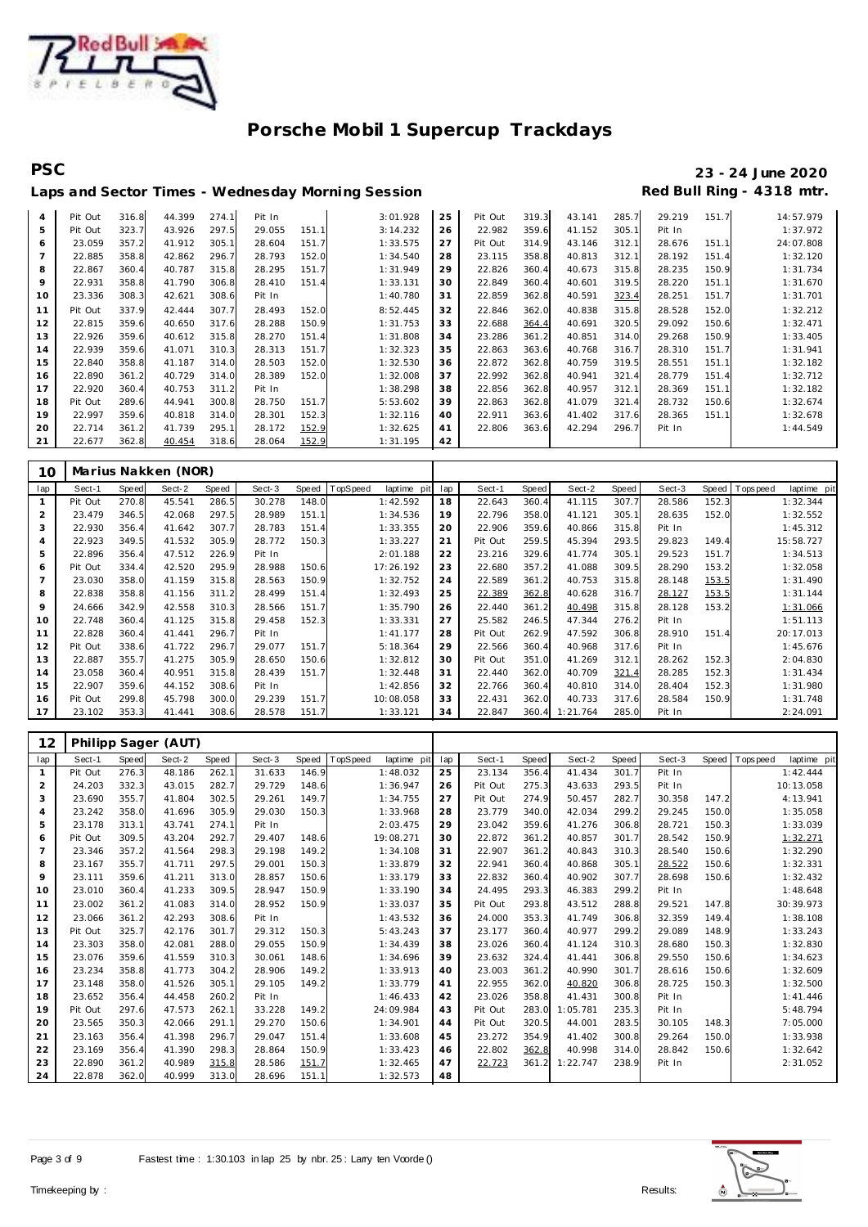

# **PSC 23 - 24 June 2020**

|                |         |       |        |       |        |       | Laps and Sector Times - Wednesday Morning Session |    |         |       |        |       |        |       | Red Bull Ring - 4318 mtr. |
|----------------|---------|-------|--------|-------|--------|-------|---------------------------------------------------|----|---------|-------|--------|-------|--------|-------|---------------------------|
| $\overline{4}$ | Pit Out | 316.8 | 44.399 | 274.1 | Pit In |       | 3:01.928                                          | 25 | Pit Out | 319.3 | 43.141 | 285.7 | 29.219 | 151.7 | 14:57.979                 |
| 5              | Pit Out | 323.7 | 43.926 | 297.5 | 29.055 | 151.1 | 3:14.232                                          | 26 | 22.982  | 359.6 | 41.152 | 305.1 | Pit In |       | 1:37.972                  |
| 6              | 23.059  | 357.2 | 41.912 | 305.1 | 28.604 | 151.7 | 1:33.575                                          | 27 | Pit Out | 314.9 | 43.146 | 312.1 | 28.676 | 151.1 | 24:07.808                 |
| $\overline{7}$ | 22.885  | 358.8 | 42.862 | 296.7 | 28.793 | 152.0 | 1:34.540                                          | 28 | 23.115  | 358.8 | 40.813 | 312.1 | 28.192 | 151.4 | 1:32.120                  |
| 8              | 22.867  | 360.4 | 40.787 | 315.8 | 28.295 | 151.7 | 1:31.949                                          | 29 | 22.826  | 360.4 | 40.673 | 315.8 | 28.235 | 150.9 | 1:31.734                  |
| 9              | 22.931  | 358.8 | 41.790 | 306.8 | 28.410 | 151.4 | 1:33.131                                          | 30 | 22.849  | 360.4 | 40.601 | 319.5 | 28.220 | 151.1 | 1:31.670                  |
| 10             | 23.336  | 308.3 | 42.621 | 308.6 | Pit In |       | 1:40.780                                          | 31 | 22.859  | 362.8 | 40.591 | 323.4 | 28.251 | 151.7 | 1:31.701                  |
| 11             | Pit Out | 337.9 | 42.444 | 307.7 | 28.493 | 152.0 | 8:52.445                                          | 32 | 22.846  | 362.0 | 40.838 | 315.8 | 28.528 | 152.0 | 1:32.212                  |
| 12             | 22.815  | 359.6 | 40.650 | 317.6 | 28.288 | 150.9 | 1:31.753                                          | 33 | 22.688  | 364.4 | 40.691 | 320.5 | 29.092 | 150.6 | 1:32.471                  |
| 13             | 22.926  | 359.6 | 40.612 | 315.8 | 28.270 | 151.4 | 1:31.808                                          | 34 | 23.286  | 361.2 | 40.851 | 314.0 | 29.268 | 150.9 | 1:33.405                  |
| 14             | 22.939  | 359.6 | 41.071 | 310.3 | 28.313 | 151.7 | 1:32.323                                          | 35 | 22.863  | 363.6 | 40.768 | 316.7 | 28.310 | 151.7 | 1:31.941                  |
| 15             | 22.840  | 358.8 | 41.187 | 314.0 | 28.503 | 152.0 | 1:32.530                                          | 36 | 22.872  | 362.8 | 40.759 | 319.5 | 28.551 | 151.1 | 1:32.182                  |
| 16             | 22.890  | 361.2 | 40.729 | 314.0 | 28.389 | 152.0 | 1:32.008                                          | 37 | 22.992  | 362.8 | 40.941 | 321.4 | 28.779 | 151.4 | 1:32.712                  |
| 17             | 22.920  | 360.4 | 40.753 | 311.2 | Pit In |       | 1:38.298                                          | 38 | 22.856  | 362.8 | 40.957 | 312.1 | 28.369 | 151.1 | 1:32.182                  |
| 18             | Pit Out | 289.6 | 44.941 | 300.8 | 28.750 | 151.7 | 5:53.602                                          | 39 | 22.863  | 362.8 | 41.079 | 321.4 | 28.732 | 150.6 | 1:32.674                  |
| 19             | 22.997  | 359.6 | 40.818 | 314.0 | 28.301 | 152.3 | 1:32.116                                          | 40 | 22.911  | 363.6 | 41.402 | 317.6 | 28.365 | 151.1 | 1:32.678                  |
| 20             | 22.714  | 361.2 | 41.739 | 295.1 | 28.172 | 152.9 | 1:32.625                                          | 41 | 22.806  | 363.6 | 42.294 | 296.7 | Pit In |       | 1:44.549                  |
| 21             | 22.677  | 362.8 | 40.454 | 318.6 | 28.064 | 152.9 | 1:31.195                                          | 42 |         |       |        |       |        |       |                           |

| 10             |         |              | Marius Nakken (NOR) |       |        |       |         |             |     |         |       |          |       |        |       |            |             |
|----------------|---------|--------------|---------------------|-------|--------|-------|---------|-------------|-----|---------|-------|----------|-------|--------|-------|------------|-------------|
| lap            | Sect-1  | <b>Speed</b> | Sect-2              | Speed | Sect-3 | Speed | opSpeed | laptime pit | lap | Sect-1  | Speed | Sect-2   | Speed | Sect-3 | Speed | Tops pee d | laptime pit |
| $\mathbf{1}$   | Pit Out | 270.8        | 45.541              | 286.5 | 30.278 | 148.0 |         | 1:42.592    | 18  | 22.643  | 360.4 | 41.115   | 307.7 | 28.586 | 152.3 |            | 1:32.344    |
| 2              | 23.479  | 346.5        | 42.068              | 297.5 | 28.989 | 151.1 |         | 1:34.536    | 19  | 22.796  | 358.0 | 41.121   | 305.1 | 28.635 | 152.0 |            | 1:32.552    |
| 3              | 22.930  | 356.4        | 41.642              | 307.7 | 28.783 | 151.4 |         | 1:33.355    | 20  | 22.906  | 359.6 | 40.866   | 315.8 | Pit In |       |            | 1:45.312    |
| $\overline{4}$ | 22.923  | 349.5        | 41.532              | 305.9 | 28.772 | 150.3 |         | 1:33.227    | 21  | Pit Out | 259.5 | 45.394   | 293.5 | 29.823 | 149.4 |            | 15:58.727   |
| 5              | 22.896  | 356.4        | 47.512              | 226.9 | Pit In |       |         | 2:01.188    | 22  | 23.216  | 329.6 | 41.774   | 305.1 | 29.523 | 151.7 |            | 1:34.513    |
| 6              | Pit Out | 334.4        | 42.520              | 295.9 | 28.988 | 150.6 |         | 17:26.192   | 23  | 22.680  | 357.2 | 41.088   | 309.5 | 28.290 | 153.2 |            | 1:32.058    |
|                | 23.030  | 358.0        | 41.159              | 315.8 | 28.563 | 150.9 |         | 1:32.752    | 24  | 22.589  | 361.2 | 40.753   | 315.8 | 28.148 | 153.5 |            | 1:31.490    |
| 8              | 22.838  | 358.8        | 41.156              | 311.2 | 28.499 | 151.4 |         | 1:32.493    | 25  | 22.389  | 362.8 | 40.628   | 316.7 | 28.127 | 153.5 |            | 1:31.144    |
| 9              | 24.666  | 342.9        | 42.558              | 310.3 | 28.566 | 151.7 |         | 1:35.790    | 26  | 22.440  | 361.2 | 40.498   | 315.8 | 28.128 | 153.2 |            | 1:31.066    |
| 10             | 22.748  | 360.4        | 41.125              | 315.8 | 29.458 | 152.3 |         | 1:33.331    | 27  | 25.582  | 246.5 | 47.344   | 276.2 | Pit In |       |            | 1:51.113    |
| 11             | 22.828  | 360.4        | 41.441              | 296.7 | Pit In |       |         | 1:41.177    | 28  | Pit Out | 262.9 | 47.592   | 306.8 | 28.910 | 151.4 |            | 20:17.013   |
| 12             | Pit Out | 338.6        | 41.722              | 296.7 | 29.077 | 151.7 |         | 5:18.364    | 29  | 22.566  | 360.4 | 40.968   | 317.6 | Pit In |       |            | 1:45.676    |
| 13             | 22.887  | 355.7        | 41.275              | 305.9 | 28.650 | 150.6 |         | 1:32.812    | 30  | Pit Out | 351.0 | 41.269   | 312.1 | 28.262 | 152.3 |            | 2:04.830    |
| 14             | 23.058  | 360.4        | 40.951              | 315.8 | 28.439 | 151.7 |         | 1:32.448    | 31  | 22.440  | 362.0 | 40.709   | 321.4 | 28.285 | 152.3 |            | 1:31.434    |
| 15             | 22.907  | 359.6        | 44.152              | 308.6 | Pit In |       |         | 1:42.856    | 32  | 22.766  | 360.4 | 40.810   | 314.0 | 28.404 | 152.3 |            | 1:31.980    |
| 16             | Pit Out | 299.8        | 45.798              | 300.0 | 29.239 | 151.7 |         | 10:08.058   | 33  | 22.431  | 362.0 | 40.733   | 317.6 | 28.584 | 150.9 |            | 1:31.748    |
| 17             | 23.102  | 353.3        | 41.441              | 308.6 | 28.578 | 151.7 |         | 1:33.121    | 34  | 22.847  | 360.4 | 1:21.764 | 285.0 | Pit In |       |            | 2:24.091    |

| 12             |         |       | Philipp Sager (AUT) |       |        |       |          |             |     |         |       |          |       |        |       |                   |             |
|----------------|---------|-------|---------------------|-------|--------|-------|----------|-------------|-----|---------|-------|----------|-------|--------|-------|-------------------|-------------|
| lap            | Sect-1  | Speed | Sect-2              | Speed | Sect-3 | Speed | TopSpeed | laptime pit | lap | Sect-1  | Speed | Sect-2   | Speed | Sect-3 | Speed | <b>T</b> ops peed | laptime pit |
| $\mathbf{1}$   | Pit Out | 276.3 | 48.186              | 262.1 | 31.633 | 146.9 |          | 1:48.032    | 25  | 23.134  | 356.4 | 41.434   | 301.7 | Pit In |       |                   | 1:42.444    |
| 2              | 24.203  | 332.3 | 43.015              | 282.7 | 29.729 | 148.6 |          | 1:36.947    | 26  | Pit Out | 275.3 | 43.633   | 293.5 | Pit In |       |                   | 10:13.058   |
| 3              | 23.690  | 355.7 | 41.804              | 302.5 | 29.261 | 149.7 |          | 1:34.755    | 27  | Pit Out | 274.9 | 50.457   | 282.7 | 30.358 | 147.2 |                   | 4:13.941    |
| $\overline{4}$ | 23.242  | 358.0 | 41.696              | 305.9 | 29.030 | 150.3 |          | 1:33.968    | 28  | 23.779  | 340.0 | 42.034   | 299.2 | 29.245 | 150.0 |                   | 1:35.058    |
| 5              | 23.178  | 313.1 | 43.741              | 274.1 | Pit In |       |          | 2:03.475    | 29  | 23.042  | 359.6 | 41.276   | 306.8 | 28.721 | 150.3 |                   | 1:33.039    |
| 6              | Pit Out | 309.5 | 43.204              | 292.7 | 29.407 | 148.6 |          | 19:08.271   | 30  | 22.872  | 361.2 | 40.857   | 301.7 | 28.542 | 150.9 |                   | 1:32.271    |
| $\overline{7}$ | 23.346  | 357.2 | 41.564              | 298.3 | 29.198 | 149.2 |          | 1:34.108    | 31  | 22.907  | 361.2 | 40.843   | 310.3 | 28.540 | 150.6 |                   | 1:32.290    |
| 8              | 23.167  | 355.7 | 41.711              | 297.5 | 29.001 | 150.3 |          | 1:33.879    | 32  | 22.941  | 360.4 | 40.868   | 305.1 | 28.522 | 150.6 |                   | 1:32.331    |
| 9              | 23.111  | 359.6 | 41.211              | 313.0 | 28.857 | 150.6 |          | 1:33.179    | 33  | 22.832  | 360.4 | 40.902   | 307.7 | 28.698 | 150.6 |                   | 1:32.432    |
| 10             | 23.010  | 360.4 | 41.233              | 309.5 | 28.947 | 150.9 |          | 1:33.190    | 34  | 24.495  | 293.3 | 46.383   | 299.2 | Pit In |       |                   | 1:48.648    |
| 11             | 23.002  | 361.2 | 41.083              | 314.0 | 28.952 | 150.9 |          | 1:33.037    | 35  | Pit Out | 293.8 | 43.512   | 288.8 | 29.521 | 147.8 |                   | 30:39.973   |
| 12             | 23.066  | 361.2 | 42.293              | 308.6 | Pit In |       |          | 1:43.532    | 36  | 24.000  | 353.3 | 41.749   | 306.8 | 32.359 | 149.4 |                   | 1:38.108    |
| 13             | Pit Out | 325.7 | 42.176              | 301.7 | 29.312 | 150.3 |          | 5:43.243    | 37  | 23.177  | 360.4 | 40.977   | 299.2 | 29.089 | 148.9 |                   | 1:33.243    |
| 14             | 23.303  | 358.0 | 42.081              | 288.0 | 29.055 | 150.9 |          | 1:34.439    | 38  | 23.026  | 360.4 | 41.124   | 310.3 | 28.680 | 150.3 |                   | 1:32.830    |
| 15             | 23.076  | 359.6 | 41.559              | 310.3 | 30.061 | 148.6 |          | 1:34.696    | 39  | 23.632  | 324.4 | 41.441   | 306.8 | 29.550 | 150.6 |                   | 1:34.623    |
| 16             | 23.234  | 358.8 | 41.773              | 304.2 | 28.906 | 149.2 |          | 1:33.913    | 40  | 23.003  | 361.2 | 40.990   | 301.7 | 28.616 | 150.6 |                   | 1:32.609    |
| 17             | 23.148  | 358.0 | 41.526              | 305.1 | 29.105 | 149.2 |          | 1:33.779    | 41  | 22.955  | 362.0 | 40.820   | 306.8 | 28.725 | 150.3 |                   | 1:32.500    |
| 18             | 23.652  | 356.4 | 44.458              | 260.2 | Pit In |       |          | 1:46.433    | 42  | 23.026  | 358.8 | 41.431   | 300.8 | Pit In |       |                   | 1: 41.446   |
| 19             | Pit Out | 297.6 | 47.573              | 262.1 | 33.228 | 149.2 |          | 24:09.984   | 43  | Pit Out | 283.0 | 1:05.781 | 235.3 | Pit In |       |                   | 5:48.794    |
| 20             | 23.565  | 350.3 | 42.066              | 291.1 | 29.270 | 150.6 |          | 1:34.901    | 44  | Pit Out | 320.5 | 44.001   | 283.5 | 30.105 | 148.3 |                   | 7:05.000    |
| 21             | 23.163  | 356.4 | 41.398              | 296.7 | 29.047 | 151.4 |          | 1:33.608    | 45  | 23.272  | 354.9 | 41.402   | 300.8 | 29.264 | 150.0 |                   | 1:33.938    |
| 22             | 23.169  | 356.4 | 41.390              | 298.3 | 28.864 | 150.9 |          | 1:33.423    | 46  | 22.802  | 362.8 | 40.998   | 314.0 | 28.842 | 150.6 |                   | 1:32.642    |
| 23             | 22.890  | 361.2 | 40.989              | 315.8 | 28.586 | 151.7 |          | 1:32.465    | 47  | 22.723  | 361.2 | 1:22.747 | 238.9 | Pit In |       |                   | 2:31.052    |
| 24             | 22.878  | 362.0 | 40.999              | 313.0 | 28.696 | 151.1 |          | 1:32.573    | 48  |         |       |          |       |        |       |                   |             |

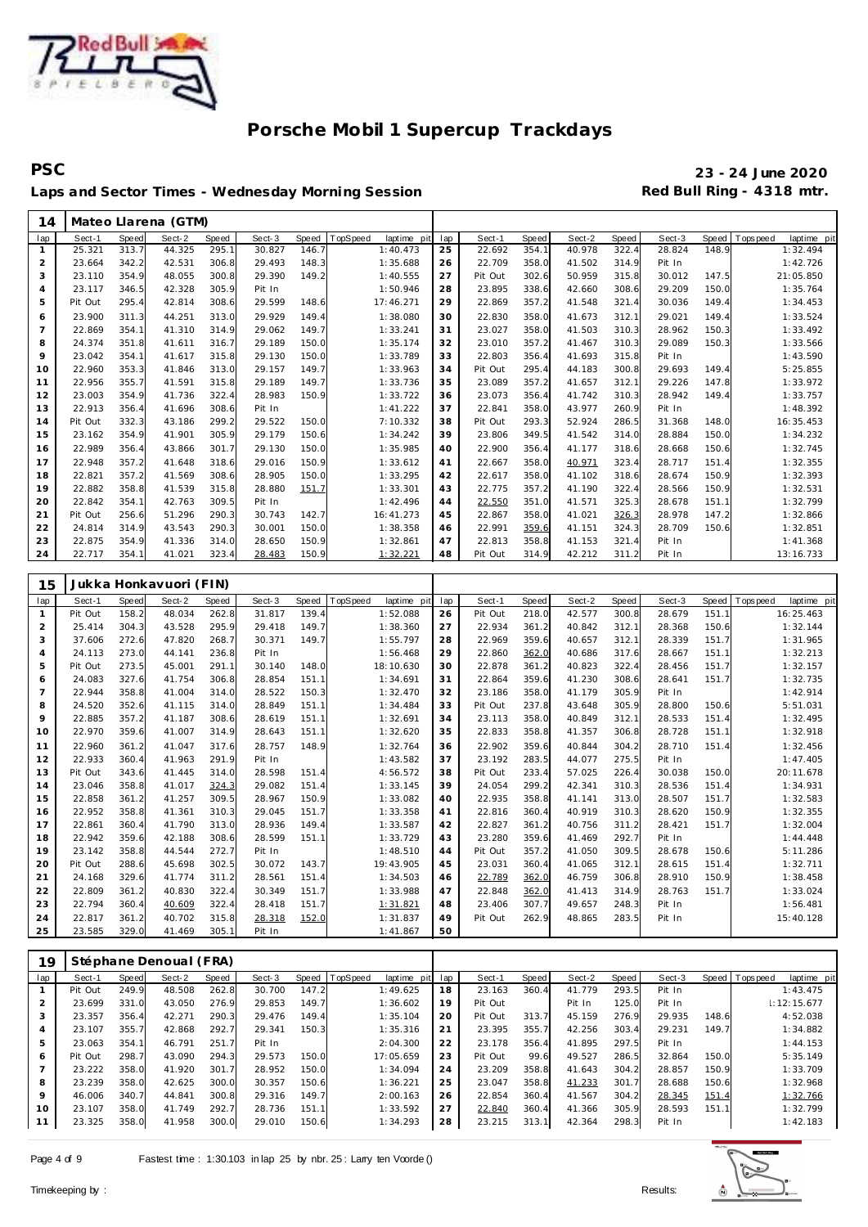

**PSC 23 - 24 June 2020** Laps and Sector Times - Wednesday Morning Session **Red Bull Ring - 4318 mtr.** 

| 14  |         |       | Mateo Llarena (GTM) |       |        |       |          |             |     |         |       |        |       |        |       |             |             |
|-----|---------|-------|---------------------|-------|--------|-------|----------|-------------|-----|---------|-------|--------|-------|--------|-------|-------------|-------------|
| lap | Sect-1  | Speed | Sect-2              | Speed | Sect-3 | Speed | TopSpeed | laptime pit | lap | Sect-1  | Speed | Sect-2 | Speed | Sect-3 | Speed | T ops pee d | laptime pit |
|     | 25.321  | 313.7 | 44.325              | 295.1 | 30.827 | 146.7 |          | 1:40.473    | 25  | 22.692  | 354.1 | 40.978 | 322.4 | 28.824 | 148.9 |             | 1:32.494    |
| 2   | 23.664  | 342.2 | 42.531              | 306.8 | 29.493 | 148.3 |          | 1:35.688    | 26  | 22.709  | 358.0 | 41.502 | 314.9 | Pit In |       |             | 1:42.726    |
| 3   | 23.110  | 354.9 | 48.055              | 300.8 | 29.390 | 149.2 |          | 1:40.555    | 27  | Pit Out | 302.6 | 50.959 | 315.8 | 30.012 | 147.5 |             | 21:05.850   |
| 4   | 23.117  | 346.5 | 42.328              | 305.9 | Pit In |       |          | 1:50.946    | 28  | 23.895  | 338.6 | 42.660 | 308.6 | 29.209 | 150.0 |             | 1:35.764    |
| 5   | Pit Out | 295.4 | 42.814              | 308.6 | 29.599 | 148.6 |          | 17:46.271   | 29  | 22.869  | 357.2 | 41.548 | 321.4 | 30.036 | 149.4 |             | 1:34.453    |
| 6   | 23.900  | 311.3 | 44.251              | 313.0 | 29.929 | 149.4 |          | 1:38.080    | 30  | 22.830  | 358.0 | 41.673 | 312.1 | 29.021 | 149.4 |             | 1:33.524    |
| 7   | 22.869  | 354.1 | 41.310              | 314.9 | 29.062 | 149.7 |          | 1:33.241    | 31  | 23.027  | 358.0 | 41.503 | 310.3 | 28.962 | 150.3 |             | 1:33.492    |
| 8   | 24.374  | 351.8 | 41.611              | 316.7 | 29.189 | 150.0 |          | 1:35.174    | 32  | 23.010  | 357.2 | 41.467 | 310.3 | 29.089 | 150.3 |             | 1:33.566    |
| 9   | 23.042  | 354.1 | 41.617              | 315.8 | 29.130 | 150.0 |          | 1:33.789    | 33  | 22.803  | 356.4 | 41.693 | 315.8 | Pit In |       |             | 1:43.590    |
| 10  | 22.960  | 353.3 | 41.846              | 313.0 | 29.157 | 149.7 |          | 1:33.963    | 34  | Pit Out | 295.4 | 44.183 | 300.8 | 29.693 | 149.4 |             | 5:25.855    |
| 11  | 22.956  | 355.7 | 41.591              | 315.8 | 29.189 | 149.7 |          | 1:33.736    | 35  | 23.089  | 357.2 | 41.657 | 312.1 | 29.226 | 147.8 |             | 1:33.972    |
| 12  | 23.003  | 354.9 | 41.736              | 322.4 | 28.983 | 150.9 |          | 1:33.722    | 36  | 23.073  | 356.4 | 41.742 | 310.3 | 28.942 | 149.4 |             | 1:33.757    |
| 13  | 22.913  | 356.4 | 41.696              | 308.6 | Pit In |       |          | 1:41.222    | 37  | 22.841  | 358.0 | 43.977 | 260.9 | Pit In |       |             | 1:48.392    |
| 14  | Pit Out | 332.3 | 43.186              | 299.2 | 29.522 | 150.0 |          | 7:10.332    | 38  | Pit Out | 293.3 | 52.924 | 286.5 | 31.368 | 148.0 |             | 16:35.453   |
| 15  | 23.162  | 354.9 | 41.901              | 305.9 | 29.179 | 150.6 |          | 1:34.242    | 39  | 23.806  | 349.5 | 41.542 | 314.0 | 28.884 | 150.0 |             | 1:34.232    |
| 16  | 22.989  | 356.4 | 43.866              | 301.7 | 29.130 | 150.0 |          | 1:35.985    | 40  | 22.900  | 356.4 | 41.177 | 318.6 | 28.668 | 150.6 |             | 1:32.745    |
| 17  | 22.948  | 357.2 | 41.648              | 318.6 | 29.016 | 150.9 |          | 1:33.612    | 41  | 22.667  | 358.0 | 40.971 | 323.4 | 28.717 | 151.4 |             | 1:32.355    |
| 18  | 22.821  | 357.2 | 41.569              | 308.6 | 28.905 | 150.0 |          | 1:33.295    | 42  | 22.617  | 358.0 | 41.102 | 318.6 | 28.674 | 150.9 |             | 1:32.393    |
| 19  | 22.882  | 358.8 | 41.539              | 315.8 | 28.880 | 151.7 |          | 1:33.301    | 43  | 22.775  | 357.2 | 41.190 | 322.4 | 28.566 | 150.9 |             | 1:32.531    |
| 20  | 22.842  | 354.1 | 42.763              | 309.5 | Pit In |       |          | 1:42.496    | 44  | 22.550  | 351.0 | 41.571 | 325.3 | 28.678 | 151.1 |             | 1:32.799    |
| 21  | Pit Out | 256.6 | 51.296              | 290.3 | 30.743 | 142.7 |          | 16:41.273   | 45  | 22.867  | 358.0 | 41.021 | 326.3 | 28.978 | 147.2 |             | 1:32.866    |
| 22  | 24.814  | 314.9 | 43.543              | 290.3 | 30.001 | 150.0 |          | 1:38.358    | 46  | 22.991  | 359.6 | 41.151 | 324.3 | 28.709 | 150.6 |             | 1:32.851    |
| 23  | 22.875  | 354.9 | 41.336              | 314.0 | 28.650 | 150.9 |          | 1:32.861    | 47  | 22.813  | 358.8 | 41.153 | 321.4 | Pit In |       |             | 1:41.368    |
| 24  | 22.717  | 354.1 | 41.021              | 323.4 | 28.483 | 150.9 |          | 1:32.221    | 48  | Pit Out | 314.9 | 42.212 | 311.2 | Pit In |       |             | 13:16.733   |
|     |         |       |                     |       |        |       |          |             |     |         |       |        |       |        |       |             |             |

| 15             |         |       | Jukka Honkavuori (FIN) |       |        |       |           |             |     |         |       |        |       |        |       |                 |             |
|----------------|---------|-------|------------------------|-------|--------|-------|-----------|-------------|-----|---------|-------|--------|-------|--------|-------|-----------------|-------------|
| lap            | Sect-1  | Speed | Sect-2                 | Speed | Sect-3 | Speed | TopSpeed  | laptime pit | lap | Sect-1  | Speed | Sect-2 | Speed | Sect-3 |       | Speed Tops peed | laptime pit |
| $\mathbf{1}$   | Pit Out | 158.2 | 48.034                 | 262.8 | 31.817 | 139.4 | 1:52.088  |             | 26  | Pit Out | 218.0 | 42.577 | 300.8 | 28.679 | 151.1 |                 | 16:25.463   |
| 2              | 25.414  | 304.3 | 43.528                 | 295.9 | 29.418 | 149.7 | 1:38.360  |             | 27  | 22.934  | 361.2 | 40.842 | 312.1 | 28.368 | 150.6 |                 | 1:32.144    |
| 3              | 37.606  | 272.6 | 47.820                 | 268.7 | 30.371 | 149.7 | 1:55.797  |             | 28  | 22.969  | 359.6 | 40.657 | 312.1 | 28.339 | 151.7 |                 | 1:31.965    |
| $\overline{4}$ | 24.113  | 273.0 | 44.141                 | 236.8 | Pit In |       | 1:56.468  |             | 29  | 22.860  | 362.0 | 40.686 | 317.6 | 28.667 | 151.1 |                 | 1:32.213    |
| 5              | Pit Out | 273.5 | 45.001                 | 291.1 | 30.140 | 148.0 | 18:10.630 |             | 30  | 22.878  | 361.2 | 40.823 | 322.4 | 28.456 | 151.7 |                 | 1:32.157    |
| 6              | 24.083  | 327.6 | 41.754                 | 306.8 | 28.854 | 151.1 | 1:34.691  |             | 31  | 22.864  | 359.6 | 41.230 | 308.6 | 28.641 | 151.7 |                 | 1:32.735    |
| $\overline{7}$ | 22.944  | 358.8 | 41.004                 | 314.0 | 28.522 | 150.3 | 1:32.470  |             | 32  | 23.186  | 358.0 | 41.179 | 305.9 | Pit In |       |                 | 1:42.914    |
| 8              | 24.520  | 352.6 | 41.115                 | 314.0 | 28.849 | 151.1 | 1:34.484  |             | 33  | Pit Out | 237.8 | 43.648 | 305.9 | 28,800 | 150.6 |                 | 5:51.031    |
| 9              | 22.885  | 357.2 | 41.187                 | 308.6 | 28.619 | 151.1 | 1:32.691  |             | 34  | 23.113  | 358.0 | 40.849 | 312.1 | 28.533 | 151.4 |                 | 1:32.495    |
| 10             | 22.970  | 359.6 | 41.007                 | 314.9 | 28.643 | 151.1 | 1:32.620  |             | 35  | 22.833  | 358.8 | 41.357 | 306.8 | 28.728 | 151.1 |                 | 1:32.918    |
| 11             | 22.960  | 361.2 | 41.047                 | 317.6 | 28.757 | 148.9 | 1:32.764  |             | 36  | 22.902  | 359.6 | 40.844 | 304.2 | 28.710 | 151.4 |                 | 1:32.456    |
| 12             | 22.933  | 360.4 | 41.963                 | 291.9 | Pit In |       | 1:43.582  |             | 37  | 23.192  | 283.5 | 44.077 | 275.5 | Pit In |       |                 | 1:47.405    |
| 13             | Pit Out | 343.6 | 41.445                 | 314.0 | 28.598 | 151.4 | 4:56.572  |             | 38  | Pit Out | 233.4 | 57.025 | 226.4 | 30.038 | 150.0 |                 | 20:11.678   |
| 14             | 23.046  | 358.8 | 41.017                 | 324.3 | 29.082 | 151.4 | 1:33.145  |             | 39  | 24.054  | 299.2 | 42.341 | 310.3 | 28.536 | 151.4 |                 | 1:34.931    |
| 15             | 22.858  | 361.2 | 41.257                 | 309.5 | 28.967 | 150.9 | 1:33.082  |             | 40  | 22.935  | 358.8 | 41.141 | 313.0 | 28.507 | 151.7 |                 | 1:32.583    |
| 16             | 22.952  | 358.8 | 41.361                 | 310.3 | 29.045 | 151.7 | 1:33.358  |             | 41  | 22.816  | 360.4 | 40.919 | 310.3 | 28.620 | 150.9 |                 | 1:32.355    |
| 17             | 22.861  | 360.4 | 41.790                 | 313.0 | 28.936 | 149.4 | 1:33.587  |             | 42  | 22.827  | 361.2 | 40.756 | 311.2 | 28.421 | 151.7 |                 | 1:32.004    |
| 18             | 22.942  | 359.6 | 42.188                 | 308.6 | 28.599 | 151.1 | 1:33.729  |             | 43  | 23.280  | 359.6 | 41.469 | 292.7 | Pit In |       |                 | 1:44.448    |
| 19             | 23.142  | 358.8 | 44.544                 | 272.7 | Pit In |       | 1:48.510  |             | 44  | Pit Out | 357.2 | 41.050 | 309.5 | 28.678 | 150.6 |                 | 5:11.286    |
| 20             | Pit Out | 288.6 | 45.698                 | 302.5 | 30.072 | 143.7 | 19:43.905 |             | 45  | 23.031  | 360.4 | 41.065 | 312.1 | 28.615 | 151.4 |                 | 1:32.711    |
| 21             | 24.168  | 329.6 | 41.774                 | 311.2 | 28.561 | 151.4 | 1:34.503  |             | 46  | 22.789  | 362.0 | 46.759 | 306.8 | 28.910 | 150.9 |                 | 1:38.458    |
| 22             | 22.809  | 361.2 | 40.830                 | 322.4 | 30.349 | 151.7 | 1:33.988  |             | 47  | 22.848  | 362.0 | 41.413 | 314.9 | 28.763 | 151.7 |                 | 1:33.024    |
| 23             | 22.794  | 360.4 | 40.609                 | 322.4 | 28.418 | 151.7 | 1:31.821  |             | 48  | 23.406  | 307.7 | 49.657 | 248.3 | Pit In |       |                 | 1:56.481    |
| 24             | 22.817  | 361.2 | 40.702                 | 315.8 | 28.318 | 152.0 | 1:31.837  |             | 49  | Pit Out | 262.9 | 48.865 | 283.5 | Pit In |       |                 | 15:40.128   |
| 25             | 23.585  | 329.0 | 41.469                 | 305.1 | Pit In |       | 1:41.867  |             | 50  |         |       |        |       |        |       |                 |             |

| 19             |         |       | Stéphane Denoual (FRA) |       |        |       |                |             |     |         |       |        |       |        |       |                 |                 |
|----------------|---------|-------|------------------------|-------|--------|-------|----------------|-------------|-----|---------|-------|--------|-------|--------|-------|-----------------|-----------------|
| lap            | Sect-1  | Speed | Sect-2                 | Speed | Sect-3 |       | Speed TopSpeed | laptime pit | lap | Sect-1  | Speed | Sect-2 | Speed | Sect-3 |       | Speed Tops peed | laptime pit     |
|                | Pit Out | 249.9 | 48.508                 | 262.8 | 30.700 | 147.2 |                | 1:49.625    | 18  | 23.163  | 360.4 | 41.779 | 293.5 | Pit In |       |                 | 1:43.475        |
| 2              | 23.699  | 331.0 | 43.050                 | 276.9 | 29.853 | 149.7 |                | 1:36.602    | 19  | Pit Out |       | Pit In | 125.0 | Pit In |       |                 | $\pm 12:15.677$ |
| 3              | 23.357  | 356.4 | 42.271                 | 290.3 | 29.476 | 149.4 |                | 1:35.104    | 20  | Pit Out | 313.7 | 45.159 | 276.9 | 29.935 | 148.6 |                 | 4:52.038        |
| 4              | 23.107  | 355.7 | 42.868                 | 292.7 | 29.341 | 150.3 |                | 1:35.316    | 21  | 23.395  | 355.7 | 42.256 | 303.4 | 29.231 | 149.7 |                 | 1:34.882        |
| 5              | 23.063  | 354.1 | 46.791                 | 251.7 | Pit In |       |                | 2:04.300    | 22  | 23.178  | 356.4 | 41.895 | 297.5 | Pit In |       |                 | 1:44.153        |
| 6              | Pit Out | 298.7 | 43.090                 | 294.3 | 29.573 | 150.0 |                | 17:05.659   | 23  | Pit Out | 99.6  | 49.527 | 286.5 | 32.864 | 150.0 |                 | 5:35.149        |
| $\overline{7}$ | 23.222  | 358.0 | 41.920                 | 301.7 | 28.952 | 150.0 |                | 1:34.094    | 24  | 23.209  | 358.8 | 41.643 | 304.2 | 28.857 | 150.9 |                 | 1:33.709        |
| 8              | 23.239  | 358.0 | 42.625                 | 300.0 | 30.357 | 150.6 |                | 1:36.221    | 25  | 23.047  | 358.8 | 41.233 | 301.7 | 28.688 | 150.6 |                 | 1:32.968        |
| 9              | 46.006  | 340.7 | 44.841                 | 300.8 | 29.316 | 149.7 |                | 2:00.163    | 26  | 22.854  | 360.4 | 41.567 | 304.2 | 28.345 | 151.4 |                 | 1:32.766        |
| 10             | 23.107  | 358.0 | 41.749                 | 292.7 | 28.736 | 151.1 |                | 1:33.592    | 27  | 22.840  | 360.4 | 41.366 | 305.9 | 28.593 | 151.1 |                 | 1:32.799        |
| 11             | 23.325  | 358.0 | 41.958                 | 300.0 | 29.010 | 150.6 |                | 1:34.293    | 28  | 23.215  | 313.1 | 42.364 | 298.3 | Pit In |       |                 | 1:42.183        |

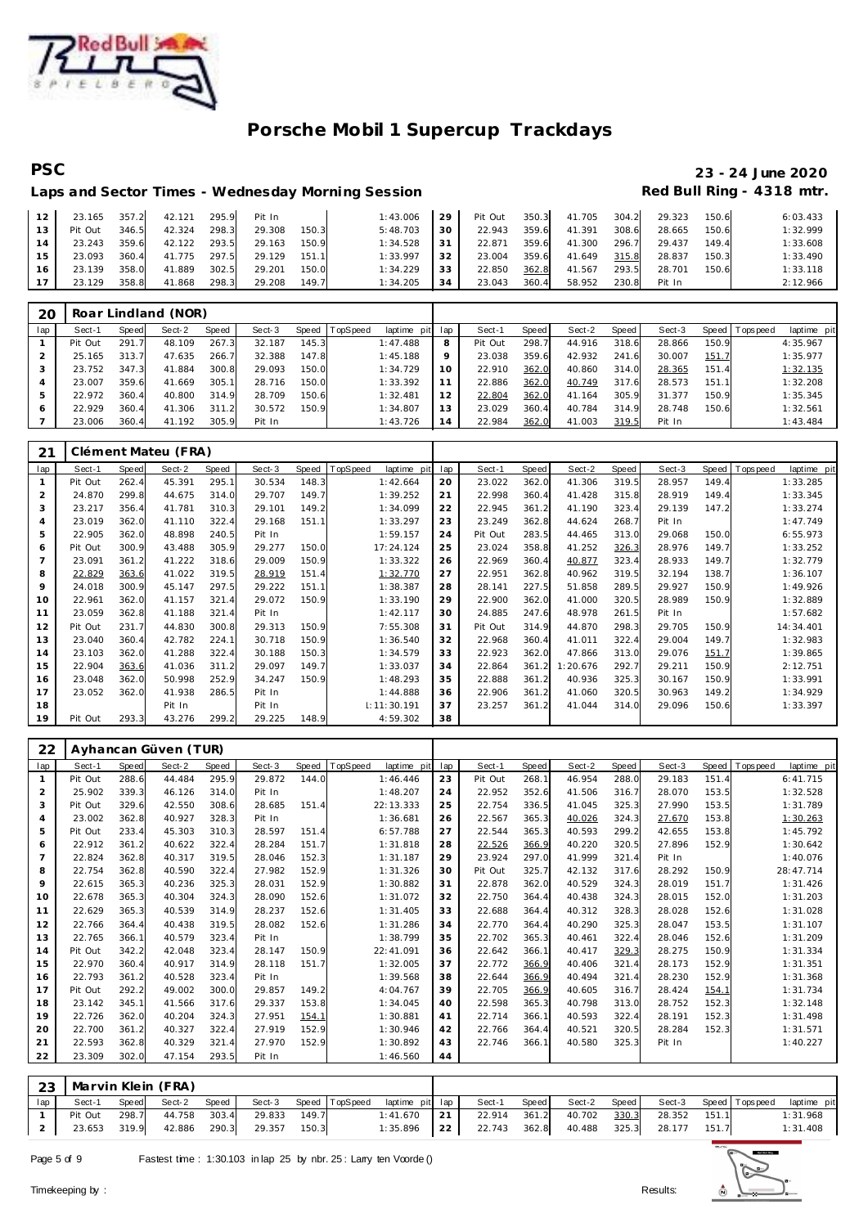

# **PSC 23 - 24 June 2020**

### Laps and Sector Times - Wednesday Morning Session **Red Bull Ring - 4318 mtr.**

| 12 <sup>1</sup> | 23.165  | 357.2 | 42.121       | 295.9 | Pit In |       | 1:43.006 | 29 | Pit Out |       | 350.3 41.705 | 304.2 | 29.323 | 150.6 | 6:03.433 |
|-----------------|---------|-------|--------------|-------|--------|-------|----------|----|---------|-------|--------------|-------|--------|-------|----------|
| 13              | Pit Out | 346.5 | 42.324       | 298.3 | 29.308 | 150.3 | 5:48.703 | 30 | 22.943  | 359.6 | 41.391       | 308.6 | 28.665 | 150.6 | 1:32.999 |
| 14              | 23.243  | 359.6 | 42.122 293.5 |       | 29.163 | 150.9 | 1:34.528 | 31 | 22.871  | 359.6 | 41.300       | 296.7 | 29.437 | 149.4 | 1:33.608 |
| 15 <sup>1</sup> | 23.093  | 360.4 | 41.775 297.5 |       | 29.129 | 151.1 | 1:33.997 | 32 | 23.004  | 359.6 | 41.649       | 315.8 | 28.837 | 150.3 | 1:33.490 |
| 16              | 23.139  | 358.0 | 41.889       | 302.5 | 29.201 | 150.0 | 1:34.229 | 33 | 22.850  | 362.8 | 41.567       | 293.5 | 28.701 | 150.6 | 1:33.118 |
| 17 <sup>1</sup> | 23.129  | 358.8 | 41.868       | 298.3 | 29.208 | 149.7 | 1:34.205 | 34 | 23.043  | 360.4 | 58.952       | 230.8 | Pit In |       | 2:12.966 |

| 20  |         |       | Roar Lindland (NOR) |       |        |       |          |             |     |         |       |        |            |        |       |                |             |
|-----|---------|-------|---------------------|-------|--------|-------|----------|-------------|-----|---------|-------|--------|------------|--------|-------|----------------|-------------|
| lap | Sect-1  | Speed | Sect-2              | Speed | Sect-3 | Speed | TopSpeed | laptime pit | lap | Sect-1  | Speed | Sect-2 | Speed      | Sect-3 |       | Speed Topspeed | laptime pit |
|     | Pit Out | 291.7 | 48.109              | 267.3 | 32.187 | 145.3 |          | 1:47.488    | 8   | Pit Out | 298.7 | 44.916 | 318.6      | 28.866 | 150.9 |                | 4:35.967    |
|     | 25.165  | 313.7 | 47.635              | 266.7 | 32.388 | 147.8 |          | 1:45.188    | 9   | 23.038  | 359.6 | 42.932 | 241<br>-61 | 30.007 | 151.7 |                | 1:35.977    |
|     | 23.752  | 347.3 | 41.884              | 300.8 | 29.093 | 150.0 |          | 1:34.729    | 10  | 22.910  | 362.0 | 40.860 | 314.0      | 28.365 | 151.4 |                | 1:32.135    |
| 4   | 23.007  | 359.6 | 41.669              | 305.1 | 28.716 | 150.0 |          | 1:33.392    | 11  | 22.886  | 362.0 | 40.749 | 317.6      | 28.573 | 151.1 |                | 1:32.208    |
| 5   | 22.972  | 360.4 | 40.800              | 314.9 | 28.709 | 150.6 |          | 1:32.481    | 12  | 22.804  | 362.0 | 41.164 | 305.9      | 31.377 | 150.9 |                | 1:35.345    |
|     | 22.929  | 360.4 | 41.306              | 311.2 | 30.572 | 150.9 |          | 1:34.807    | 13  | 23.029  | 360.4 | 40.784 | 314.9      | 28.748 | 150.6 |                | 1:32.561    |
|     | 23.006  | 360.4 | 41.192              | 305.9 | Pit In |       |          | 1:43.726    | 14  | 22.984  | 362.0 | 41.003 | 319.5      | Pit In |       |                | 1:43.484    |

| 21  |         |       | Clément Mateu (FRA) |       |        |       |                         |     |         |       |          |       |        |       |           |             |
|-----|---------|-------|---------------------|-------|--------|-------|-------------------------|-----|---------|-------|----------|-------|--------|-------|-----------|-------------|
| lap | Sect-1  | Speed | Sect-2              | Speed | Sect-3 | Speed | TopSpeed<br>laptime pit | lap | Sect-1  | Speed | Sect-2   | Speed | Sect-3 | Speed | Tops peed | laptime pit |
|     | Pit Out | 262.4 | 45.391              | 295.1 | 30.534 | 148.3 | 1:42.664                | 20  | 23.022  | 362.0 | 41.306   | 319.5 | 28.957 | 149.4 |           | 1:33.285    |
| 2   | 24.870  | 299.8 | 44.675              | 314.0 | 29.707 | 149.7 | 1:39.252                | 21  | 22.998  | 360.4 | 41.428   | 315.8 | 28.919 | 149.4 |           | 1:33.345    |
| 3   | 23.217  | 356.4 | 41.781              | 310.3 | 29.101 | 149.2 | 1:34.099                | 22  | 22.945  | 361.2 | 41.190   | 323.4 | 29.139 | 147.2 |           | 1:33.274    |
| 4   | 23.019  | 362.0 | 41.110              | 322.4 | 29.168 | 151.1 | 1:33.297                | 23  | 23.249  | 362.8 | 44.624   | 268.7 | Pit In |       |           | 1:47.749    |
| 5   | 22.905  | 362.0 | 48.898              | 240.5 | Pit In |       | 1:59.157                | 24  | Pit Out | 283.5 | 44.465   | 313.0 | 29.068 | 150.0 |           | 6:55.973    |
| 6   | Pit Out | 300.9 | 43.488              | 305.9 | 29.277 | 150.0 | 17:24.124               | 25  | 23.024  | 358.8 | 41.252   | 326.3 | 28.976 | 149.7 |           | 1:33.252    |
| 7   | 23.091  | 361.2 | 41.222              | 318.6 | 29.009 | 150.9 | 1:33.322                | 26  | 22.969  | 360.4 | 40.877   | 323.4 | 28.933 | 149.7 |           | 1:32.779    |
| 8   | 22.829  | 363.6 | 41.022              | 319.5 | 28.919 | 151.4 | 1:32.770                | 27  | 22.951  | 362.8 | 40.962   | 319.5 | 32.194 | 138.7 |           | 1:36.107    |
| 9   | 24.018  | 300.9 | 45.147              | 297.5 | 29.222 | 151.1 | 1:38.387                | 28  | 28.141  | 227.5 | 51.858   | 289.5 | 29.927 | 150.9 |           | 1:49.926    |
| 10  | 22.961  | 362.0 | 41.157              | 321.4 | 29.072 | 150.9 | 1:33.190                | 29  | 22.900  | 362.0 | 41.000   | 320.5 | 28.989 | 150.9 |           | 1:32.889    |
| 11  | 23.059  | 362.8 | 41.188              | 321.4 | Pit In |       | 1:42.117                | 30  | 24.885  | 247.6 | 48.978   | 261.5 | Pit In |       |           | 1:57.682    |
| 12  | Pit Out | 231.7 | 44.830              | 300.8 | 29.313 | 150.9 | 7:55.308                | 31  | Pit Out | 314.9 | 44.870   | 298.3 | 29.705 | 150.9 |           | 14:34.401   |
| 13  | 23.040  | 360.4 | 42.782              | 224.1 | 30.718 | 150.9 | 1:36.540                | 32  | 22.968  | 360.4 | 41.011   | 322.4 | 29.004 | 149.7 |           | 1:32.983    |
| 14  | 23.103  | 362.0 | 41.288              | 322.4 | 30.188 | 150.3 | 1:34.579                | 33  | 22.923  | 362.0 | 47.866   | 313.0 | 29.076 | 151.7 |           | 1:39.865    |
| 15  | 22.904  | 363.6 | 41.036              | 311.2 | 29.097 | 149.7 | 1:33.037                | 34  | 22.864  | 361.2 | 1:20.676 | 292.7 | 29.211 | 150.9 |           | 2:12.751    |
| 16  | 23.048  | 362.0 | 50.998              | 252.9 | 34.247 | 150.9 | 1:48.293                | 35  | 22.888  | 361.2 | 40.936   | 325.3 | 30.167 | 150.9 |           | 1:33.991    |
| 17  | 23.052  | 362.0 | 41.938              | 286.5 | Pit In |       | 1:44.888                | 36  | 22.906  | 361.2 | 41.060   | 320.5 | 30.963 | 149.2 |           | 1:34.929    |
| 18  |         |       | Pit In              |       | Pit In |       | 1: 11: 30.191           | 37  | 23.257  | 361.2 | 41.044   | 314.0 | 29.096 | 150.6 |           | 1:33.397    |
| 19  | Pit Out | 293.3 | 43.276              | 299.2 | 29.225 | 148.9 | 4:59.302                | 38  |         |       |          |       |        |       |           |             |

| 22             |         |              | Ayhancan Güven (TUR) |              |        |       |                         |     |         |       |        |       |        |       |            |             |
|----------------|---------|--------------|----------------------|--------------|--------|-------|-------------------------|-----|---------|-------|--------|-------|--------|-------|------------|-------------|
| lap            | Sect-1  | <b>Speed</b> | Sect-2               | <b>Speed</b> | Sect-3 | Speed | TopSpeed<br>laptime pit | lap | Sect-1  | Speed | Sect-2 | Speed | Sect-3 | Speed | T ops peed | laptime pit |
| $\mathbf{1}$   | Pit Out | 288.6        | 44.484               | 295.9        | 29.872 | 144.0 | 1:46.446                | 23  | Pit Out | 268.1 | 46.954 | 288.0 | 29.183 | 151.4 |            | 6: 41.715   |
| $\overline{2}$ | 25.902  | 339.3        | 46.126               | 314.0        | Pit In |       | 1:48.207                | 24  | 22.952  | 352.6 | 41.506 | 316.7 | 28.070 | 153.5 |            | 1:32.528    |
| 3              | Pit Out | 329.6        | 42.550               | 308.6        | 28.685 | 151.4 | 22:13.333               | 25  | 22.754  | 336.5 | 41.045 | 325.3 | 27.990 | 153.5 |            | 1:31.789    |
| $\overline{4}$ | 23.002  | 362.8        | 40.927               | 328.3        | Pit In |       | 1:36.681                | 26  | 22.567  | 365.3 | 40.026 | 324.3 | 27.670 | 153.8 |            | 1:30.263    |
| 5              | Pit Out | 233.4        | 45.303               | 310.3        | 28.597 | 151.4 | 6:57.788                | 27  | 22.544  | 365.3 | 40.593 | 299.2 | 42.655 | 153.8 |            | 1:45.792    |
| 6              | 22.912  | 361.2        | 40.622               | 322.4        | 28.284 | 151.7 | 1:31.818                | 28  | 22.526  | 366.9 | 40.220 | 320.5 | 27.896 | 152.9 |            | 1:30.642    |
| $\overline{7}$ | 22.824  | 362.8        | 40.317               | 319.5        | 28.046 | 152.3 | 1:31.187                | 29  | 23.924  | 297.0 | 41.999 | 321.4 | Pit In |       |            | 1:40.076    |
| 8              | 22.754  | 362.8        | 40.590               | 322.4        | 27.982 | 152.9 | 1:31.326                | 30  | Pit Out | 325.7 | 42.132 | 317.6 | 28.292 | 150.9 |            | 28:47.714   |
| 9              | 22.615  | 365.3        | 40.236               | 325.3        | 28.031 | 152.9 | 1:30.882                | 31  | 22.878  | 362.0 | 40.529 | 324.3 | 28.019 | 151.7 |            | 1:31.426    |
| 10             | 22.678  | 365.3        | 40.304               | 324.3        | 28.090 | 152.6 | 1:31.072                | 32  | 22.750  | 364.4 | 40.438 | 324.3 | 28.015 | 152.0 |            | 1:31.203    |
| 11             | 22.629  | 365.3        | 40.539               | 314.9        | 28.237 | 152.6 | 1:31.405                | 33  | 22.688  | 364.4 | 40.312 | 328.3 | 28.028 | 152.6 |            | 1:31.028    |
| 12             | 22.766  | 364.4        | 40.438               | 319.5        | 28.082 | 152.6 | 1:31.286                | 34  | 22.770  | 364.4 | 40.290 | 325.3 | 28.047 | 153.5 |            | 1:31.107    |
| 13             | 22.765  | 366.1        | 40.579               | 323.4        | Pit In |       | 1:38.799                | 35  | 22.702  | 365.3 | 40.461 | 322.4 | 28.046 | 152.6 |            | 1:31.209    |
| 14             | Pit Out | 342.2        | 42.048               | 323.4        | 28.147 | 150.9 | 22:41.091               | 36  | 22.642  | 366.1 | 40.417 | 329.3 | 28.275 | 150.9 |            | 1:31.334    |
| 15             | 22.970  | 360.4        | 40.917               | 314.9        | 28.118 | 151.7 | 1:32.005                | 37  | 22.772  | 366.9 | 40.406 | 321.4 | 28.173 | 152.9 |            | 1:31.351    |
| 16             | 22.793  | 361.2        | 40.528               | 323.4        | Pit In |       | 1:39.568                | 38  | 22.644  | 366.9 | 40.494 | 321.4 | 28.230 | 152.9 |            | 1:31.368    |
| 17             | Pit Out | 292.2        | 49.002               | 300.0        | 29.857 | 149.2 | 4:04.767                | 39  | 22.705  | 366.9 | 40.605 | 316.7 | 28.424 | 154.1 |            | 1:31.734    |
| 18             | 23.142  | 345.1        | 41.566               | 317.6        | 29.337 | 153.8 | 1:34.045                | 40  | 22.598  | 365.3 | 40.798 | 313.0 | 28.752 | 152.3 |            | 1:32.148    |
| 19             | 22.726  | 362.0        | 40.204               | 324.3        | 27.951 | 154.1 | 1:30.881                | 41  | 22.714  | 366.1 | 40.593 | 322.4 | 28.191 | 152.3 |            | 1:31.498    |
| 20             | 22.700  | 361.2        | 40.327               | 322.4        | 27.919 | 152.9 | 1:30.946                | 42  | 22.766  | 364.4 | 40.521 | 320.5 | 28.284 | 152.3 |            | 1:31.571    |
| 21             | 22.593  | 362.8        | 40.329               | 321.4        | 27.970 | 152.9 | 1:30.892                | 43  | 22.746  | 366.1 | 40.580 | 325.3 | Pit In |       |            | 1:40.227    |
| 22             | 23.309  | 302.0        | 47.154               | 293.5        | Pit In |       | 1:46.560                | 44  |         |       |        |       |        |       |            |             |

|                 | 23 Marvin Klein (FRA) |       |              |       |        |       |                                |    |                |       |                           |                                    |       |             |
|-----------------|-----------------------|-------|--------------|-------|--------|-------|--------------------------------|----|----------------|-------|---------------------------|------------------------------------|-------|-------------|
| 1 <sub>ap</sub> | Sect-1                | Speed | Sect-2       | Speed | Sect-3 |       | Speed TopSpeed laptime pit lap |    | Sect-1         | Speed |                           | Sect-2 Speed Sect-3 Speed Topspeed |       | laptime pit |
|                 | Pit Out               | 298.7 | 44.758 303.4 |       | 29.833 | 149.7 | $1:41.670$   21                |    |                |       | 22.914 361.2 40.702 330.3 | 28.352 151.1                       |       | 1:31.968    |
|                 | 23.653 319.9          |       | 42.886 290.3 |       | 29.357 | 150.3 | 1:35.896                       | 22 | 22.743 362.8 . |       |                           | 40.488 325.3 28.177                | 151.7 | 1:31.408    |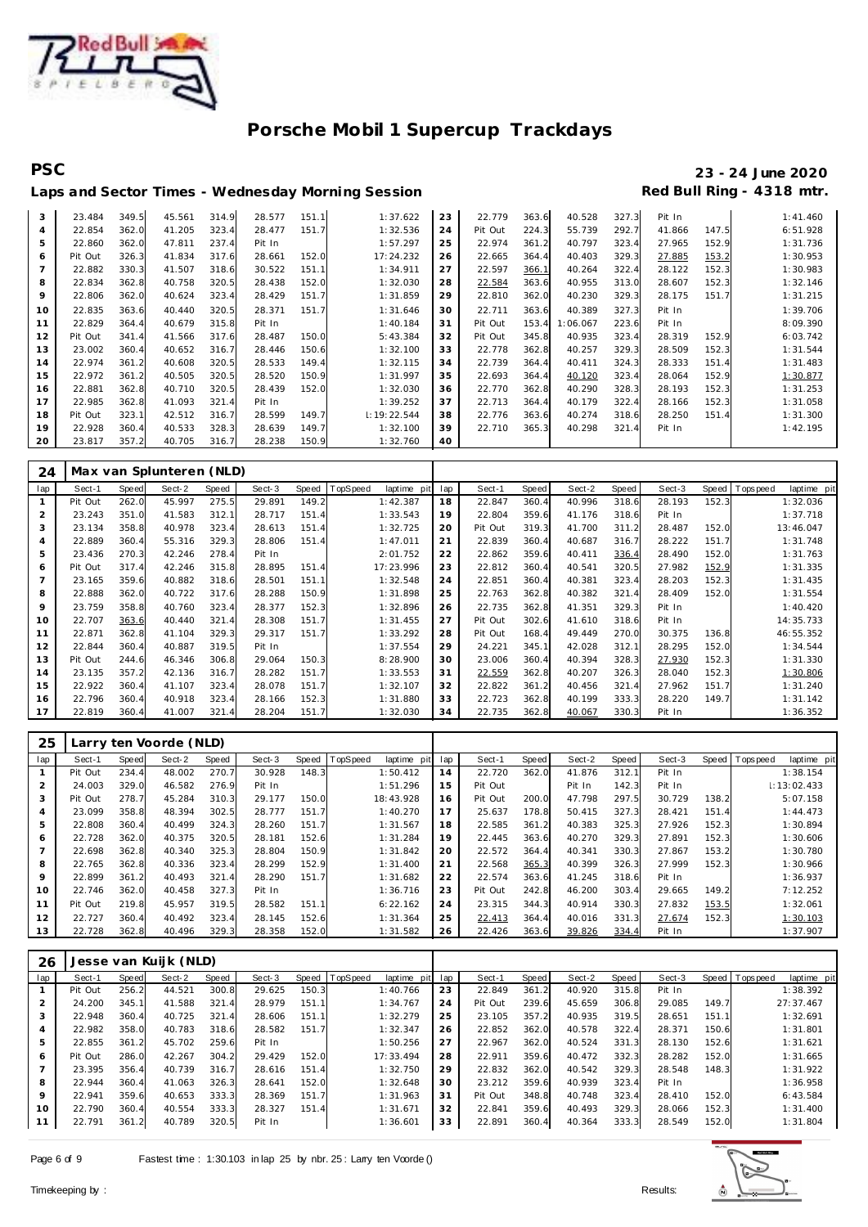

# **PSC 23 - 24 June 2020**

### Laps and Sector Times - Wednesday Morning Session

| 3              | 23.484  | 349.5 | 45.561 | 314.9 | 28.577 | 151.1 | 1:37.622    | 23 | 22.779  | 363.6 | 40.528  | 327.3 | Pit In |       | 1:41.460 |
|----------------|---------|-------|--------|-------|--------|-------|-------------|----|---------|-------|---------|-------|--------|-------|----------|
| $\overline{4}$ | 22.854  | 362.0 | 41.205 | 323.4 | 28.477 | 151.7 | 1:32.536    | 24 | Pit Out | 224.3 | 55.739  | 292.7 | 41.866 | 147.5 | 6:51.928 |
| 5              | 22.860  | 362.0 | 47.811 | 237.4 | Pit In |       | 1:57.297    | 25 | 22.974  | 361.2 | 40.797  | 323.4 | 27.965 | 152.9 | 1:31.736 |
| 6              | Pit Out | 326.3 | 41.834 | 317.6 | 28.661 | 152.0 | 17:24.232   | 26 | 22.665  | 364.4 | 40.403  | 329.3 | 27.885 | 153.2 | 1:30.953 |
| $\overline{7}$ | 22.882  | 330.3 | 41.507 | 318.6 | 30.522 | 151.1 | 1:34.911    | 27 | 22.597  | 366.1 | 40.264  | 322.4 | 28.122 | 152.3 | 1:30.983 |
| 8              | 22.834  | 362.8 | 40.758 | 320.5 | 28.438 | 152.0 | 1:32.030    | 28 | 22.584  | 363.6 | 40.955  | 313.0 | 28.607 | 152.3 | 1:32.146 |
| 9              | 22.806  | 362.0 | 40.624 | 323.4 | 28.429 | 151.7 | 1:31.859    | 29 | 22.810  | 362.0 | 40.230  | 329.3 | 28.175 | 151.7 | 1:31.215 |
| 10             | 22.835  | 363.6 | 40.440 | 320.5 | 28.371 | 151.7 | 1:31.646    | 30 | 22.711  | 363.6 | 40.389  | 327.3 | Pit In |       | 1:39.706 |
| 11             | 22.829  | 364.4 | 40.679 | 315.8 | Pit In |       | 1:40.184    | 31 | Pit Out | 153.4 | :06.067 | 223.6 | Pit In |       | 8:09.390 |
| 12             | Pit Out | 341.4 | 41.566 | 317.6 | 28.487 | 150.0 | 5:43.384    | 32 | Pit Out | 345.8 | 40.935  | 323.4 | 28.319 | 152.9 | 6:03.742 |
| 13             | 23.002  | 360.4 | 40.652 | 316.7 | 28.446 | 150.6 | 1:32.100    | 33 | 22.778  | 362.8 | 40.257  | 329.3 | 28.509 | 152.3 | 1:31.544 |
| 14             | 22.974  | 361.2 | 40.608 | 320.5 | 28.533 | 149.4 | 1:32.115    | 34 | 22.739  | 364.4 | 40.411  | 324.3 | 28.333 | 151.4 | 1:31.483 |
| 15             | 22.972  | 361.2 | 40.505 | 320.5 | 28.520 | 150.9 | 1:31.997    | 35 | 22.693  | 364.4 | 40.120  | 323.4 | 28.064 | 152.9 | 1:30.877 |
| 16             | 22.881  | 362.8 | 40.710 | 320.5 | 28.439 | 152.0 | 1:32.030    | 36 | 22.770  | 362.8 | 40.290  | 328.3 | 28.193 | 152.3 | 1:31.253 |
| 17             | 22.985  | 362.8 | 41.093 | 321.4 | Pit In |       | 1:39.252    | 37 | 22.713  | 364.4 | 40.179  | 322.4 | 28.166 | 152.3 | 1:31.058 |
| 18             | Pit Out | 323.1 | 42.512 | 316.7 | 28.599 | 149.7 | 1:19:22.544 | 38 | 22.776  | 363.6 | 40.274  | 318.6 | 28.250 | 151.4 | 1:31.300 |
| 19             | 22.928  | 360.4 | 40.533 | 328.3 | 28.639 | 149.7 | 1:32.100    | 39 | 22.710  | 365.3 | 40.298  | 321.4 | Pit In |       | 1:42.195 |
| 20             | 23.817  | 357.2 | 40.705 | 316.7 | 28.238 | 150.9 | 1:32.760    | 40 |         |       |         |       |        |       |          |

| 24           |         |       | Max van Splunteren (NLD) |       |        |       |          |             |     |         |       |        |       |        |              |                   |             |
|--------------|---------|-------|--------------------------|-------|--------|-------|----------|-------------|-----|---------|-------|--------|-------|--------|--------------|-------------------|-------------|
| lap          | Sect-1  | Speed | Sect-2                   | Speed | Sect-3 | Speed | TopSpeed | laptime pit | lap | Sect-1  | Speed | Sect-2 | Speed | Sect-3 | <b>Speed</b> | <b>T</b> ops peed | laptime pit |
| $\mathbf{1}$ | Pit Out | 262.0 | 45.997                   | 275.5 | 29.891 | 149.2 |          | 1:42.387    | 18  | 22.847  | 360.4 | 40.996 | 318.6 | 28.193 | 152.3        |                   | 1:32.036    |
| 2            | 23.243  | 351.0 | 41.583                   | 312.1 | 28.717 | 151.4 |          | 1:33.543    | 19  | 22.804  | 359.6 | 41.176 | 318.6 | Pit In |              |                   | 1:37.718    |
| 3            | 23.134  | 358.8 | 40.978                   | 323.4 | 28.613 | 151.4 |          | 1:32.725    | 20  | Pit Out | 319.3 | 41.700 | 311.2 | 28.487 | 152.0        |                   | 13:46.047   |
| 4            | 22.889  | 360.4 | 55.316                   | 329.3 | 28.806 | 151.4 |          | 1:47.011    | 21  | 22.839  | 360.4 | 40.687 | 316.7 | 28.222 | 151.7        |                   | 1:31.748    |
| 5            | 23.436  | 270.3 | 42.246                   | 278.4 | Pit In |       |          | 2:01.752    | 22  | 22.862  | 359.6 | 40.411 | 336.4 | 28.490 | 152.0        |                   | 1:31.763    |
| 6            | Pit Out | 317.4 | 42.246                   | 315.8 | 28.895 | 151.4 |          | 17:23.996   | 23  | 22.812  | 360.4 | 40.541 | 320.5 | 27.982 | 152.9        |                   | 1:31.335    |
|              | 23.165  | 359.6 | 40.882                   | 318.6 | 28.501 | 151.1 |          | 1:32.548    | 24  | 22.851  | 360.4 | 40.381 | 323.4 | 28.203 | 152.3        |                   | 1:31.435    |
| 8            | 22.888  | 362.0 | 40.722                   | 317.6 | 28.288 | 150.9 |          | 1:31.898    | 25  | 22.763  | 362.8 | 40.382 | 321.4 | 28.409 | 152.0        |                   | 1:31.554    |
| 9            | 23.759  | 358.8 | 40.760                   | 323.4 | 28.377 | 152.3 |          | 1:32.896    | 26  | 22.735  | 362.8 | 41.351 | 329.3 | Pit In |              |                   | 1:40.420    |
| 10           | 22.707  | 363.6 | 40.440                   | 321.4 | 28.308 | 151.7 |          | 1:31.455    | 27  | Pit Out | 302.6 | 41.610 | 318.6 | Pit In |              |                   | 14:35.733   |
| 11           | 22.871  | 362.8 | 41.104                   | 329.3 | 29.317 | 151.7 |          | 1:33.292    | 28  | Pit Out | 168.4 | 49.449 | 270.0 | 30.375 | 136.8        |                   | 46:55.352   |
| 12           | 22.844  | 360.4 | 40.887                   | 319.5 | Pit In |       |          | 1:37.554    | 29  | 24.221  | 345.1 | 42.028 | 312.1 | 28.295 | 152.0        |                   | 1:34.544    |
| 13           | Pit Out | 244.6 | 46.346                   | 306.8 | 29.064 | 150.3 |          | 8:28.900    | 30  | 23.006  | 360.4 | 40.394 | 328.3 | 27.930 | 152.3        |                   | 1:31.330    |
| 14           | 23.135  | 357.2 | 42.136                   | 316.7 | 28.282 | 151.7 |          | 1:33.553    | 31  | 22.559  | 362.8 | 40.207 | 326.3 | 28.040 | 152.3        |                   | 1:30.806    |
| 15           | 22.922  | 360.4 | 41.107                   | 323.4 | 28.078 | 151.7 |          | 1:32.107    | 32  | 22.822  | 361.2 | 40.456 | 321.4 | 27.962 | 151.7        |                   | 1:31.240    |
| 16           | 22.796  | 360.4 | 40.918                   | 323.4 | 28.166 | 152.3 |          | 1:31.880    | 33  | 22.723  | 362.8 | 40.199 | 333.3 | 28.220 | 149.7        |                   | 1:31.142    |
| -17          | 22.819  | 360.4 | 41.007                   | 321.4 | 28.204 | 151.7 |          | 1:32.030    | 34  | 22.735  | 362.8 | 40.067 | 330.3 | Pit In |              |                   | 1:36.352    |

| 25  |         |       | Larry ten Voorde (NLD) |       |        |       |          |                |     |         |       |        |       |        |       |                |             |
|-----|---------|-------|------------------------|-------|--------|-------|----------|----------------|-----|---------|-------|--------|-------|--------|-------|----------------|-------------|
| lap | Sect-1  | Speed | Sect-2                 | Speed | Sect-3 | Speed | TopSpeed | laptime<br>pit | lap | Sect-1  | Speed | Sect-2 | Speed | Sect-3 |       | Speed Topspeed | laptime pit |
|     | Pit Out | 234.4 | 48.002                 | 270.7 | 30.928 | 148.3 |          | 1:50.412       | 14  | 22.720  | 362.0 | 41.876 | 312.1 | Pit In |       |                | 1:38.154    |
|     | 24.003  | 329.0 | 46.582                 | 276.9 | Pit In |       |          | 1:51.296       | 15  | Pit Out |       | Pit In | 142.3 | Pit In |       |                | 1:13:02.433 |
| 3   | Pit Out | 278.7 | 45.284                 | 310.3 | 29.177 | 150.0 |          | 18:43.928      | 16  | Pit Out | 200.0 | 47.798 | 297.5 | 30.729 | 138.2 |                | 5:07.158    |
| 4   | 23.099  | 358.8 | 48.394                 | 302.5 | 28.777 | 151.7 |          | 1:40.270       | 17  | 25.637  | 178.8 | 50.415 | 327.3 | 28.421 | 151.4 |                | 1:44.473    |
| 5   | 22.808  | 360.4 | 40.499                 | 324.3 | 28.260 | 151.7 |          | 1:31.567       | 18  | 22.585  | 361.2 | 40.383 | 325.3 | 27.926 | 152.3 |                | 1:30.894    |
| 6   | 22.728  | 362.0 | 40.375                 | 320.5 | 28.181 | 152.6 |          | 1:31.284       | 19  | 22.445  | 363.6 | 40.270 | 329.3 | 27.891 | 152.3 |                | 1:30.606    |
|     | 22.698  | 362.8 | 40.340                 | 325.3 | 28.804 | 150.9 |          | 1:31.842       | 20  | 22.572  | 364.4 | 40.341 | 330.3 | 27.867 | 153.2 |                | 1:30.780    |
| 8   | 22.765  | 362.8 | 40.336                 | 323.4 | 28.299 | 152.9 |          | 1:31.400       | 21  | 22.568  | 365.3 | 40.399 | 326.3 | 27.999 | 152.3 |                | 1:30.966    |
| 9   | 22.899  | 361.2 | 40.493                 | 321.4 | 28.290 | 151.7 |          | 1:31.682       | 22  | 22.574  | 363.6 | 41.245 | 318.6 | Pit In |       |                | 1:36.937    |
| 10  | 22.746  | 362.0 | 40.458                 | 327.3 | Pit In |       |          | 1:36.716       | 23  | Pit Out | 242.8 | 46.200 | 303.4 | 29.665 | 149.2 |                | 7:12.252    |
| 11  | Pit Out | 219.8 | 45.957                 | 319.5 | 28.582 | 151.1 |          | 6:22.162       | 24  | 23.315  | 344.3 | 40.914 | 330.3 | 27.832 | 153.5 |                | 1:32.061    |
| 12  | 22.727  | 360.4 | 40.492                 | 323.4 | 28.145 | 152.6 |          | 1:31.364       | 25  | 22.413  | 364.4 | 40.016 | 331.3 | 27.674 | 152.3 |                | 1:30.103    |
| 13  | 22.728  | 362.8 | 40.496                 | 329.3 | 28.358 | 152.0 |          | 1:31.582       | 26  | 22.426  | 363.6 | 39.826 | 334.4 | Pit In |       |                | 1:37.907    |

| 26             |         |       | Jesse van Kuijk (NLD) |       |        |       |          |             |     |         |       |        |       |        |       |                |             |
|----------------|---------|-------|-----------------------|-------|--------|-------|----------|-------------|-----|---------|-------|--------|-------|--------|-------|----------------|-------------|
| lap            | Sect-1  | Speed | Sect-2                | Speed | Sect-3 | Speed | TopSpeed | laptime pit | lap | Sect-1  | Speed | Sect-2 | Speed | Sect-3 |       | Speed Topspeed | laptime pit |
|                | Pit Out | 256.2 | 44.521                | 300.8 | 29.625 | 150.3 |          | 1:40.766    | 23  | 22.849  | 361.2 | 40.920 | 315.8 | Pit In |       |                | 1:38.392    |
| $\overline{2}$ | 24.200  | 345.1 | 41.588                | 321.4 | 28.979 | 151.1 |          | 1:34.767    | 24  | Pit Out | 239.6 | 45.659 | 306.8 | 29.085 | 149.7 |                | 27:37.467   |
| 3              | 22.948  | 360.4 | 40.725                | 321.4 | 28.606 | 151.1 |          | 1:32.279    | 25  | 23.105  | 357.2 | 40.935 | 319.5 | 28.651 | 151.1 |                | 1:32.691    |
| 4              | 22.982  | 358.0 | 40.783                | 318.6 | 28.582 | 151.7 |          | 1:32.347    | 26  | 22.852  | 362.0 | 40.578 | 322.4 | 28.371 | 150.6 |                | 1:31.801    |
| 5              | 22.855  | 361.2 | 45.702                | 259.6 | Pit In |       |          | 1:50.256    | 27  | 22.967  | 362.0 | 40.524 | 331.3 | 28.130 | 152.6 |                | 1:31.621    |
| 6              | Pit Out | 286.0 | 42.267                | 304.2 | 29.429 | 152.0 |          | 17:33.494   | 28  | 22.911  | 359.6 | 40.472 | 332.3 | 28.282 | 152.0 |                | 1:31.665    |
|                | 23.395  | 356.4 | 40.739                | 316.7 | 28.616 | 151.4 |          | 1:32.750    | 29  | 22.832  | 362.0 | 40.542 | 329.3 | 28.548 | 148.3 |                | 1:31.922    |
| 8              | 22.944  | 360.4 | 41.063                | 326.3 | 28.641 | 152.0 |          | 1:32.648    | 30  | 23.212  | 359.6 | 40.939 | 323.4 | Pit In |       |                | 1:36.958    |
| 9              | 22.941  | 359.6 | 40.653                | 333.3 | 28.369 | 151.7 |          | 1:31.963    | 31  | Pit Out | 348.8 | 40.748 | 323.4 | 28.410 | 152.0 |                | 6:43.584    |
| 10             | 22.790  | 360.4 | 40.554                | 333.3 | 28.327 | 151.4 |          | 1:31.671    | 32  | 22.841  | 359.6 | 40.493 | 329.3 | 28.066 | 152.3 |                | 1:31.400    |
| 11             | 22.791  | 361.2 | 40.789                | 320.5 | Pit In |       |          | 1:36.601    | 33  | 22.891  | 360.4 | 40.364 | 333.3 | 28.549 | 152.0 |                | 1:31.804    |

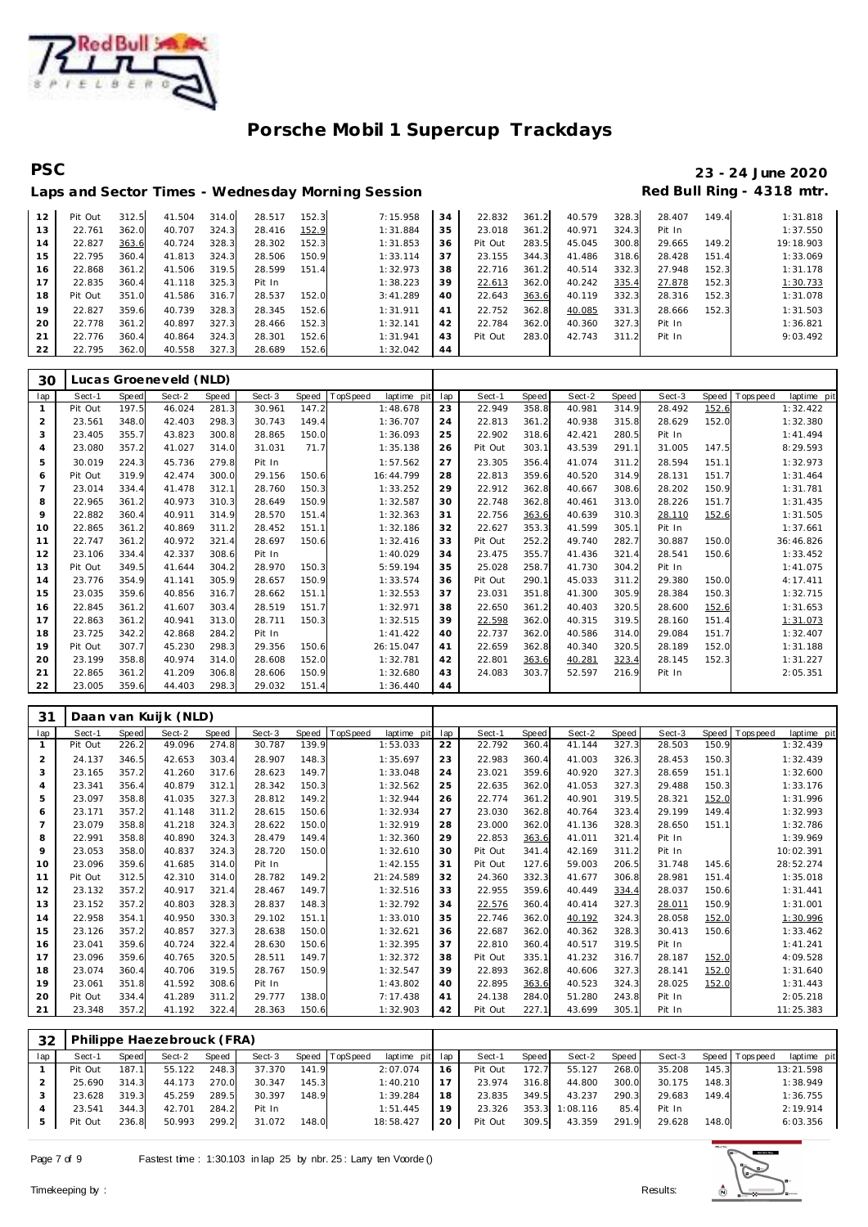

# **PSC 23 - 24 June 2020**

### Laps and Sector Times - Wednesday Morning Session **Red Bull Ring - 4318 mtr.** Pit Out 312.5 41.504 314.0 28.517 152.3 7:15.958 **34** 22.832 361.2 40.579 328.3 28.407 149.4 1:31.818

| 13 | 22.761  | 362.0 | 40.707 | 324.3 | 28.416 | 152.9 | 1:31.884 | 35 | 23.018  | 361.2 | 40.971 | 324.3      | Pit In |       | 1:37.550  |
|----|---------|-------|--------|-------|--------|-------|----------|----|---------|-------|--------|------------|--------|-------|-----------|
| 14 | 22.827  | 363.6 | 40.724 | 328.3 | 28.302 | 152.3 | 1:31.853 | 36 | Pit Out | 283.5 | 45.045 | 300.8      | 29.665 | 149.2 | 19:18.903 |
| 15 | 22.795  | 360.4 | 41.813 | 324.3 | 28.506 | 150.9 | 1:33.114 | 37 | 23.155  | 344.3 | 41.486 | 318.6      | 28.428 | 151.4 | 1:33.069  |
| 16 | 22.868  | 361.2 | 41.506 | 319.5 | 28.599 | 151.4 | 1:32.973 | 38 | 22.716  | 361.2 | 40.514 | 332.3      | 27.948 | 152.3 | 1:31.178  |
|    | 22.835  | 360.4 | 41.118 | 325.3 | Pit In |       | 1:38.223 | 39 | 22.613  | 362.0 | 40.242 | 335.4      | 27.878 | 152.3 | 1:30.733  |
| 18 | Pit Out | 351.0 | 41.586 | 316.7 | 28.537 | 152.0 | 3:41.289 | 40 | 22.643  | 363.6 | 40.119 | 332.3      | 28.316 | 152.3 | 1:31.078  |
| 19 | 22.827  | 359.6 | 40.739 | 328.3 | 28.345 | 152.6 | 1:31.911 | 41 | 22.752  | 362.8 | 40.085 | 331.3      | 28.666 | 152.3 | 1:31.503  |
| 20 | 22.778  | 361.2 | 40.897 | 327.3 | 28.466 | 152.3 | 1:32.141 | 42 | 22.784  | 362.0 | 40.360 | 327.3      | Pit In |       | 1:36.821  |
| 21 | 22.776  | 360.4 | 40.864 | 324.3 | 28.301 | 152.6 | 1:31.941 | 43 | Pit Out | 283.0 | 42.743 | 311<br>-21 | Pit In |       | 9:03.492  |
| 22 | 22.795  | 362.0 | 40.558 | 327.3 | 28.689 | 152.6 | 1:32.042 | 44 |         |       |        |            |        |       |           |

| 30             |         |       | Lucas Groeneveld (NLD) |       |        |       |          |             |     |         |       |        |       |        |       |                |             |
|----------------|---------|-------|------------------------|-------|--------|-------|----------|-------------|-----|---------|-------|--------|-------|--------|-------|----------------|-------------|
| lap            | Sect-1  | Speed | Sect-2                 | Speed | Sect-3 | Speed | TopSpeed | laptime pit | lap | Sect-1  | Speed | Sect-2 | Speed | Sect-3 |       | Speed Topspeed | laptime pit |
| $\mathbf{1}$   | Pit Out | 197.5 | 46.024                 | 281.3 | 30.961 | 147.2 |          | 1:48.678    | 23  | 22.949  | 358.8 | 40.981 | 314.9 | 28.492 | 152.6 |                | 1:32.422    |
| $\overline{2}$ | 23.561  | 348.0 | 42.403                 | 298.3 | 30.743 | 149.4 |          | 1:36.707    | 24  | 22.813  | 361.2 | 40.938 | 315.8 | 28.629 | 152.0 |                | 1:32.380    |
| 3              | 23.405  | 355.7 | 43.823                 | 300.8 | 28.865 | 150.0 |          | 1:36.093    | 25  | 22.902  | 318.6 | 42.421 | 280.5 | Pit In |       |                | 1:41.494    |
| $\overline{4}$ | 23.080  | 357.2 | 41.027                 | 314.0 | 31.031 | 71.7  |          | 1:35.138    | 26  | Pit Out | 303.1 | 43.539 | 291.1 | 31.005 | 147.5 |                | 8:29.593    |
| 5              | 30.019  | 224.3 | 45.736                 | 279.8 | Pit In |       |          | 1:57.562    | 27  | 23.305  | 356.4 | 41.074 | 311.2 | 28.594 | 151.1 |                | 1:32.973    |
| 6              | Pit Out | 319.9 | 42.474                 | 300.0 | 29.156 | 150.6 |          | 16:44.799   | 28  | 22.813  | 359.6 | 40.520 | 314.9 | 28.131 | 151.7 |                | 1:31.464    |
| $\overline{7}$ | 23.014  | 334.4 | 41.478                 | 312.1 | 28.760 | 150.3 |          | 1:33.252    | 29  | 22.912  | 362.8 | 40.667 | 308.6 | 28.202 | 150.9 |                | 1:31.781    |
| 8              | 22.965  | 361.2 | 40.973                 | 310.3 | 28.649 | 150.9 |          | 1:32.587    | 30  | 22.748  | 362.8 | 40.461 | 313.0 | 28.226 | 151.7 |                | 1:31.435    |
| 9              | 22.882  | 360.4 | 40.911                 | 314.9 | 28.570 | 151.4 |          | 1:32.363    | 31  | 22.756  | 363.6 | 40.639 | 310.3 | 28.110 | 152.6 |                | 1:31.505    |
| 10             | 22.865  | 361.2 | 40.869                 | 311.2 | 28.452 | 151.1 |          | 1:32.186    | 32  | 22.627  | 353.3 | 41.599 | 305.1 | Pit In |       |                | 1:37.661    |
| 11             | 22.747  | 361.2 | 40.972                 | 321.4 | 28.697 | 150.6 |          | 1:32.416    | 33  | Pit Out | 252.2 | 49.740 | 282.7 | 30.887 | 150.0 |                | 36:46.826   |
| 12             | 23.106  | 334.4 | 42.337                 | 308.6 | Pit In |       |          | 1:40.029    | 34  | 23.475  | 355.7 | 41.436 | 321.4 | 28.541 | 150.6 |                | 1:33.452    |
| 13             | Pit Out | 349.5 | 41.644                 | 304.2 | 28.970 | 150.3 |          | 5:59.194    | 35  | 25.028  | 258.7 | 41.730 | 304.2 | Pit In |       |                | 1:41.075    |
| 14             | 23.776  | 354.9 | 41.141                 | 305.9 | 28.657 | 150.9 |          | 1:33.574    | 36  | Pit Out | 290.1 | 45.033 | 311.2 | 29.380 | 150.0 |                | 4:17.411    |
| 15             | 23.035  | 359.6 | 40.856                 | 316.7 | 28.662 | 151.1 |          | 1:32.553    | 37  | 23.031  | 351.8 | 41.300 | 305.9 | 28.384 | 150.3 |                | 1:32.715    |
| 16             | 22.845  | 361.2 | 41.607                 | 303.4 | 28.519 | 151.7 |          | 1:32.971    | 38  | 22.650  | 361.2 | 40.403 | 320.5 | 28.600 | 152.6 |                | 1:31.653    |
| 17             | 22.863  | 361.2 | 40.941                 | 313.0 | 28.711 | 150.3 |          | 1:32.515    | 39  | 22.598  | 362.0 | 40.315 | 319.5 | 28.160 | 151.4 |                | 1:31.073    |
| 18             | 23.725  | 342.2 | 42.868                 | 284.2 | Pit In |       |          | 1:41.422    | 40  | 22.737  | 362.0 | 40.586 | 314.0 | 29.084 | 151.7 |                | 1:32.407    |
| 19             | Pit Out | 307.7 | 45.230                 | 298.3 | 29.356 | 150.6 |          | 26:15.047   | 41  | 22.659  | 362.8 | 40.340 | 320.5 | 28.189 | 152.0 |                | 1:31.188    |
| 20             | 23.199  | 358.8 | 40.974                 | 314.0 | 28.608 | 152.0 |          | 1:32.781    | 42  | 22.801  | 363.6 | 40.281 | 323.4 | 28.145 | 152.3 |                | 1:31.227    |
| 21             | 22.865  | 361.2 | 41.209                 | 306.8 | 28.606 | 150.9 |          | 1:32.680    | 43  | 24.083  | 303.7 | 52.597 | 216.9 | Pit In |       |                | 2:05.351    |
| 22             | 23.005  | 359.6 | 44.403                 | 298.3 | 29.032 | 151.4 |          | 1:36.440    | 44  |         |       |        |       |        |       |                |             |

| 31             |         |       | Daan van Kuijk (NLD) |       |        |       |                         |     |         |       |        |       |        |       |                           |
|----------------|---------|-------|----------------------|-------|--------|-------|-------------------------|-----|---------|-------|--------|-------|--------|-------|---------------------------|
| lap            | Sect-1  | Speed | Sect-2               | Speed | Sect-3 | Speed | TopSpeed<br>laptime pit | lap | Sect-1  | Speed | Sect-2 | Speed | Sect-3 | Speed | T ops peed<br>laptime pit |
|                | Pit Out | 226.2 | 49.096               | 274.8 | 30.787 | 139.9 | 1:53.033                | 22  | 22.792  | 360.4 | 41.144 | 327.3 | 28.503 | 150.9 | 1:32.439                  |
| 2              | 24.137  | 346.5 | 42.653               | 303.4 | 28.907 | 148.3 | 1:35.697                | 23  | 22.983  | 360.4 | 41.003 | 326.3 | 28.453 | 150.3 | 1:32.439                  |
| 3              | 23.165  | 357.2 | 41.260               | 317.6 | 28.623 | 149.7 | 1:33.048                | 24  | 23.021  | 359.6 | 40.920 | 327.3 | 28.659 | 151.1 | 1:32.600                  |
| 4              | 23.341  | 356.4 | 40.879               | 312.1 | 28.342 | 150.3 | 1:32.562                | 25  | 22.635  | 362.0 | 41.053 | 327.3 | 29.488 | 150.3 | 1:33.176                  |
| 5              | 23.097  | 358.8 | 41.035               | 327.3 | 28.812 | 149.2 | 1:32.944                | 26  | 22.774  | 361.2 | 40.901 | 319.5 | 28.321 | 152.0 | 1:31.996                  |
| 6              | 23.171  | 357.2 | 41.148               | 311.2 | 28.615 | 150.6 | 1:32.934                | 27  | 23.030  | 362.8 | 40.764 | 323.4 | 29.199 | 149.4 | 1:32.993                  |
| $\overline{7}$ | 23.079  | 358.8 | 41.218               | 324.3 | 28.622 | 150.0 | 1:32.919                | 28  | 23.000  | 362.0 | 41.136 | 328.3 | 28.650 | 151.1 | 1:32.786                  |
| 8              | 22.991  | 358.8 | 40.890               | 324.3 | 28.479 | 149.4 | 1:32.360                | 29  | 22.853  | 363.6 | 41.011 | 321.4 | Pit In |       | 1:39.969                  |
| 9              | 23.053  | 358.0 | 40.837               | 324.3 | 28.720 | 150.0 | 1:32.610                | 30  | Pit Out | 341.4 | 42.169 | 311.2 | Pit In |       | 10:02.391                 |
| 10             | 23.096  | 359.6 | 41.685               | 314.0 | Pit In |       | 1:42.155                | 31  | Pit Out | 127.6 | 59.003 | 206.5 | 31.748 | 145.6 | 28:52.274                 |
| 11             | Pit Out | 312.5 | 42.310               | 314.0 | 28.782 | 149.2 | 21:24.589               | 32  | 24.360  | 332.3 | 41.677 | 306.8 | 28.981 | 151.4 | 1:35.018                  |
| 12             | 23.132  | 357.2 | 40.917               | 321.4 | 28.467 | 149.7 | 1:32.516                | 33  | 22.955  | 359.6 | 40.449 | 334.4 | 28.037 | 150.6 | 1:31.441                  |
| 13             | 23.152  | 357.2 | 40.803               | 328.3 | 28.837 | 148.3 | 1:32.792                | 34  | 22.576  | 360.4 | 40.414 | 327.3 | 28.011 | 150.9 | 1:31.001                  |
| 14             | 22.958  | 354.1 | 40.950               | 330.3 | 29.102 | 151.1 | 1:33.010                | 35  | 22.746  | 362.0 | 40.192 | 324.3 | 28.058 | 152.0 | 1:30.996                  |
| 15             | 23.126  | 357.2 | 40.857               | 327.3 | 28.638 | 150.0 | 1:32.621                | 36  | 22.687  | 362.0 | 40.362 | 328.3 | 30.413 | 150.6 | 1:33.462                  |
| 16             | 23.041  | 359.6 | 40.724               | 322.4 | 28.630 | 150.6 | 1:32.395                | 37  | 22.810  | 360.4 | 40.517 | 319.5 | Pit In |       | 1:41.241                  |
| 17             | 23.096  | 359.6 | 40.765               | 320.5 | 28.511 | 149.7 | 1:32.372                | 38  | Pit Out | 335.1 | 41.232 | 316.7 | 28.187 | 152.0 | 4:09.528                  |
| 18             | 23.074  | 360.4 | 40.706               | 319.5 | 28.767 | 150.9 | 1:32.547                | 39  | 22.893  | 362.8 | 40.606 | 327.3 | 28.141 | 152.0 | 1:31.640                  |
| 19             | 23.061  | 351.8 | 41.592               | 308.6 | Pit In |       | 1:43.802                | 40  | 22.895  | 363.6 | 40.523 | 324.3 | 28.025 | 152.0 | 1:31.443                  |
| 20             | Pit Out | 334.4 | 41.289               | 311.2 | 29.777 | 138.0 | 7:17.438                | 41  | 24.138  | 284.0 | 51.280 | 243.8 | Pit In |       | 2:05.218                  |
| 21             | 23.348  | 357.2 | 41.192               | 322.4 | 28.363 | 150.6 | 1:32.903                | 42  | Pit Out | 227.1 | 43.699 | 305.1 | Pit In |       | 11:25.383                 |

| 32  |         |       | Philippe Haezebrouck (FRA) |       |        |       |                |                 |    |         |       |          |       |        |       |                   |             |
|-----|---------|-------|----------------------------|-------|--------|-------|----------------|-----------------|----|---------|-------|----------|-------|--------|-------|-------------------|-------------|
| lap | Sect-1  | Speed | Sect-2                     | Speed | Sect-3 |       | Speed TopSpeed | laptime pit lap |    | Sect-1  | Speed | Sect-2   | Speed | Sect-3 |       | Speed   Tops peed | laptime pit |
|     | Pit Out | 187.1 | 55.122                     | 248.3 | 37.370 | 141.9 |                | 2:07.074        | 16 | Pit Out | 172.7 | 55.127   | 268.0 | 35.208 | 145.3 |                   | 13:21.598   |
|     | 25.690  | 314.3 | 44.173                     | 270.0 | 30.347 | 145.3 |                | 1:40.210        | 17 | 23.974  | 316.8 | 44.800   | 300.0 | 30.175 | 148.3 |                   | 1:38.949    |
|     | 23.628  | 319.3 | 45.259                     | 289.5 | 30.397 | 148.9 |                | 1:39.284        | 18 | 23.835  | 349.5 | 43.237   | 290.3 | 29.683 | 149.4 |                   | 1:36.755    |
|     | 23.541  | 344.3 | 42.701                     | 284.2 | Pit In |       |                | 1:51.445        | 19 | 23.326  | 353.3 | 1:08.116 | 85.4  | Pit In |       |                   | 2:19.914    |
|     | Pit Out | 236.8 | 50.993                     | 299.2 | 31.072 | 148.0 |                | 18:58.427       | 20 | Pit Out | 309.5 | 43.359   | 291.9 | 29.628 | 148.0 |                   | 6:03.356    |

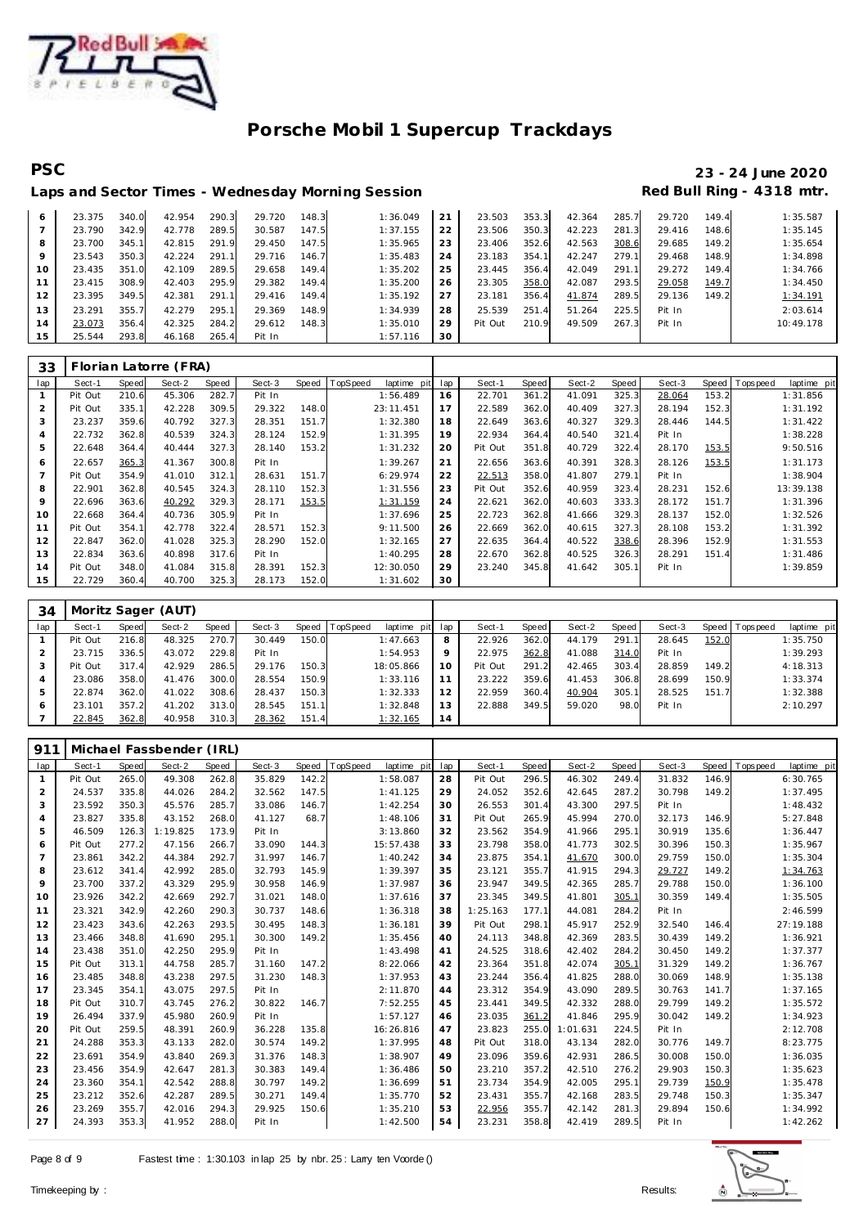

# **PSC 23 - 24 June 2020**

|    |        |       |        |       | Laps and Sector Times - Wednesday Morning Session |       |          |    |         |       |        |       | Red Bull Ring - 4318 mtr. |       |           |
|----|--------|-------|--------|-------|---------------------------------------------------|-------|----------|----|---------|-------|--------|-------|---------------------------|-------|-----------|
|    |        |       |        |       |                                                   |       |          |    |         |       |        |       |                           |       |           |
| 6  | 23.375 | 340.0 | 42.954 | 290.3 | 29.720                                            | 148.3 | 1:36.049 | 21 | 23.503  | 353.3 | 42.364 | 285.7 | 29.720                    | 149.4 | 1:35.587  |
|    | 23.790 | 342.9 | 42.778 | 289.5 | 30.587                                            | 147.5 | 1:37.155 | 22 | 23.506  | 350.3 | 42.223 | 281.3 | 29.416                    | 148.6 | 1:35.145  |
| 8  | 23.700 | 345.1 | 42.815 | 291.9 | 29.450                                            | 147.5 | 1:35.965 | 23 | 23.406  | 352.6 | 42.563 | 308.6 | 29.685                    | 149.2 | 1:35.654  |
| 9  | 23.543 | 350.3 | 42.224 | 291.1 | 29.716                                            | 146.7 | 1:35.483 | 24 | 23.183  | 354.1 | 42.247 | 279.1 | 29.468                    | 148.9 | 1:34.898  |
| 10 | 23.435 | 351.0 | 42.109 | 289.5 | 29.658                                            | 149.4 | 1:35.202 | 25 | 23.445  | 356.4 | 42.049 | 291.1 | 29.272                    | 149.4 | 1:34.766  |
| 11 | 23.415 | 308.9 | 42.403 | 295.9 | 29.382                                            | 149.4 | 1:35.200 | 26 | 23.305  | 358.0 | 42.087 | 293.5 | 29.058                    | 149.7 | 1:34.450  |
| 12 | 23.395 | 349.5 | 42.381 | 291.1 | 29.416                                            | 149.4 | 1:35.192 | 27 | 23.181  | 356.4 | 41.874 | 289.5 | 29.136                    | 149.2 | 1:34.191  |
| 13 | 23.291 | 355.7 | 42.279 | 295.1 | 29.369                                            | 148.9 | 1:34.939 | 28 | 25.539  | 251.4 | 51.264 | 225.5 | Pit In                    |       | 2:03.614  |
| 14 | 23.073 | 356.4 | 42.325 | 284.2 | 29.612                                            | 148.3 | 1:35.010 | 29 | Pit Out | 210.9 | 49.509 | 267.3 | Pit In                    |       | 10:49.178 |
| 15 | 25.544 | 293.8 | 46.168 | 265.4 | Pit In                                            |       | 1:57.116 | 30 |         |       |        |       |                           |       |           |

| 33             |         |       | Florian Latorre (FRA) |       |        |       |          |             |     |         |       |        |       |        |       |                 |             |
|----------------|---------|-------|-----------------------|-------|--------|-------|----------|-------------|-----|---------|-------|--------|-------|--------|-------|-----------------|-------------|
| lap            | Sect-1  | Speed | Sect-2                | Speed | Sect-3 | Speed | TopSpeed | laptime pit | lap | Sect-1  | Speed | Sect-2 | Speed | Sect-3 |       | Speed Tops peed | laptime pit |
| 1              | Pit Out | 210.6 | 45.306                | 282.7 | Pit In |       |          | 1:56.489    | 16  | 22.701  | 361.2 | 41.091 | 325.3 | 28.064 | 153.2 |                 | 1:31.856    |
| $\overline{2}$ | Pit Out | 335.7 | 42.228                | 309.5 | 29.322 | 148.0 |          | 23:11.451   | 17  | 22.589  | 362.0 | 40.409 | 327.3 | 28.194 | 152.3 |                 | 1:31.192    |
| 3              | 23.237  | 359.6 | 40.792                | 327.3 | 28.351 | 151.7 |          | 1:32.380    | 18  | 22.649  | 363.6 | 40.327 | 329.3 | 28.446 | 144.5 |                 | 1:31.422    |
| 4              | 22.732  | 362.8 | 40.539                | 324.3 | 28.124 | 152.9 |          | 1:31.395    | 19  | 22.934  | 364.4 | 40.540 | 321.4 | Pit In |       |                 | 1:38.228    |
| 5              | 22.648  | 364.4 | 40.444                | 327.3 | 28.140 | 153.2 |          | 1:31.232    | 20  | Pit Out | 351.8 | 40.729 | 322.4 | 28.170 | 153.5 |                 | 9:50.516    |
| 6              | 22.657  | 365.3 | 41.367                | 300.8 | Pit In |       |          | 1:39.267    | 21  | 22.656  | 363.6 | 40.391 | 328.3 | 28.126 | 153.5 |                 | 1:31.173    |
| $\overline{7}$ | Pit Out | 354.9 | 41.010                | 312.1 | 28.631 | 151.7 |          | 6:29.974    | 22  | 22.513  | 358.0 | 41.807 | 279.1 | Pit In |       |                 | 1:38.904    |
| 8              | 22.901  | 362.8 | 40.545                | 324.3 | 28.110 | 152.3 |          | 1:31.556    | 23  | Pit Out | 352.6 | 40.959 | 323.4 | 28.231 | 152.6 |                 | 13:39.138   |
| 9              | 22.696  | 363.6 | 40.292                | 329.3 | 28.171 | 153.5 |          | 1:31.159    | 24  | 22.621  | 362.0 | 40.603 | 333.3 | 28.172 | 151.7 |                 | 1:31.396    |
| 10             | 22.668  | 364.4 | 40.736                | 305.9 | Pit In |       |          | 1:37.696    | 25  | 22.723  | 362.8 | 41.666 | 329.3 | 28.137 | 152.0 |                 | 1:32.526    |
| 11             | Pit Out | 354.1 | 42.778                | 322.4 | 28.571 | 152.3 |          | 9:11.500    | 26  | 22.669  | 362.0 | 40.615 | 327.3 | 28.108 | 153.2 |                 | 1:31.392    |
| 12             | 22.847  | 362.0 | 41.028                | 325.3 | 28.290 | 152.0 |          | 1:32.165    | 27  | 22.635  | 364.4 | 40.522 | 338.6 | 28.396 | 152.9 |                 | 1:31.553    |
| 13             | 22.834  | 363.6 | 40.898                | 317.6 | Pit In |       |          | 1:40.295    | 28  | 22.670  | 362.8 | 40.525 | 326.3 | 28.291 | 151.4 |                 | 1:31.486    |
| 14             | Pit Out | 348.0 | 41.084                | 315.8 | 28.391 | 152.3 |          | 12:30.050   | 29  | 23.240  | 345.8 | 41.642 | 305.1 | Pit In |       |                 | 1:39.859    |
| 15             | 22.729  | 360.4 | 40.700                | 325.3 | 28.173 | 152.0 |          | 1:31.602    | 30  |         |       |        |       |        |       |                 |             |

| 34  |         | Moritz Sager (AUT) |        |       |        |       |                |                 |    |         |       |        |       |        |       |                |             |
|-----|---------|--------------------|--------|-------|--------|-------|----------------|-----------------|----|---------|-------|--------|-------|--------|-------|----------------|-------------|
| lap | Sect-1  | Speed              | Sect-2 | Speed | Sect-3 |       | Speed TopSpeed | laptime pit lap |    | Sect-1  | Speed | Sect-2 | Speed | Sect-3 |       | Speed Topspeed | laptime pit |
|     | Pit Out | 216.8              | 48.325 | 270.7 | 30.449 | 150.0 |                | 1:47.663        | 8  | 22.926  | 362.0 | 44.179 | 291.1 | 28.645 | 152.0 |                | 1:35.750    |
|     | 23.715  | 336.5              | 43.072 | 229.8 | Pit In |       |                | 1:54.953        | 9  | 22.975  | 362.8 | 41.088 | 314.0 | Pit In |       |                | 1:39.293    |
|     | Pit Out | 317.4              | 42.929 | 286.5 | 29.176 | 150.3 |                | 18:05.866       | 10 | Pit Out | 291.2 | 42.465 | 303.4 | 28.859 | 149.2 |                | 4:18.313    |
|     | 23.086  | 358.0              | 41.476 | 300.0 | 28.554 | 150.9 |                | 1:33.116        |    | 23.222  | 359.6 | 41.453 | 306.8 | 28.699 | 150.9 |                | 1:33.374    |
| .5  | 22.874  | 362.0              | 41.022 | 308.6 | 28.437 | 150.3 |                | 1:32.333        | 12 | 22.959  | 360.4 | 40.904 | 305.1 | 28.525 | 151.7 |                | 1:32.388    |
| 6   | 23.101  | 357.2              | 41.202 | 313.0 | 28.545 | 151.1 |                | 1:32.848        | 13 | 22.888  | 349.5 | 59.020 | 98.0  | Pit In |       |                | 2:10.297    |
|     | 22.845  | 362.8              | 40.958 | 310.3 | 28.362 | 151.4 |                | 1:32.165        | 14 |         |       |        |       |        |       |                |             |

| 911            |         |       | Michael Fassbender (IRL) |       |        |       |                         |     |          |       |          |       |        |       |            |             |
|----------------|---------|-------|--------------------------|-------|--------|-------|-------------------------|-----|----------|-------|----------|-------|--------|-------|------------|-------------|
| lap            | Sect-1  | Speed | Sect-2                   | Speed | Sect-3 | Speed | TopSpeed<br>laptime pit | lap | Sect-1   | Speed | Sect-2   | Speed | Sect-3 | Speed | T ops peed | laptime pit |
| $\mathbf{1}$   | Pit Out | 265.0 | 49.308                   | 262.8 | 35.829 | 142.2 | 1:58.087                | 28  | Pit Out  | 296.5 | 46.302   | 249.4 | 31.832 | 146.9 |            | 6:30.765    |
| 2              | 24.537  | 335.8 | 44.026                   | 284.2 | 32.562 | 147.5 | 1:41.125                | 29  | 24.052   | 352.6 | 42.645   | 287.2 | 30.798 | 149.2 |            | 1:37.495    |
| 3              | 23.592  | 350.3 | 45.576                   | 285.7 | 33.086 | 146.7 | 1:42.254                | 30  | 26.553   | 301.4 | 43.300   | 297.5 | Pit In |       |            | 1:48.432    |
| $\overline{4}$ | 23.827  | 335.8 | 43.152                   | 268.0 | 41.127 | 68.7  | 1:48.106                | 31  | Pit Out  | 265.9 | 45.994   | 270.0 | 32.173 | 146.9 |            | 5:27.848    |
| 5              | 46.509  | 126.3 | 1:19.825                 | 173.9 | Pit In |       | 3:13.860                | 32  | 23.562   | 354.9 | 41.966   | 295.1 | 30.919 | 135.6 |            | 1:36.447    |
| 6              | Pit Out | 277.2 | 47.156                   | 266.7 | 33.090 | 144.3 | 15:57.438               | 33  | 23.798   | 358.0 | 41.773   | 302.5 | 30.396 | 150.3 |            | 1:35.967    |
| $\overline{7}$ | 23.861  | 342.2 | 44.384                   | 292.7 | 31.997 | 146.7 | 1:40.242                | 34  | 23.875   | 354.1 | 41.670   | 300.0 | 29.759 | 150.0 |            | 1:35.304    |
| 8              | 23.612  | 341.4 | 42.992                   | 285.0 | 32.793 | 145.9 | 1:39.397                | 35  | 23.121   | 355.7 | 41.915   | 294.3 | 29.727 | 149.2 |            | 1:34.763    |
| 9              | 23.700  | 337.2 | 43.329                   | 295.9 | 30.958 | 146.9 | 1:37.987                | 36  | 23.947   | 349.5 | 42.365   | 285.7 | 29.788 | 150.0 |            | 1:36.100    |
| 10             | 23.926  | 342.2 | 42.669                   | 292.7 | 31.021 | 148.0 | 1:37.616                | 37  | 23.345   | 349.5 | 41.801   | 305.1 | 30.359 | 149.4 |            | 1:35.505    |
| 11             | 23.321  | 342.9 | 42.260                   | 290.3 | 30.737 | 148.6 | 1:36.318                | 38  | 1:25.163 | 177.1 | 44.081   | 284.2 | Pit In |       |            | 2:46.599    |
| 12             | 23.423  | 343.6 | 42.263                   | 293.5 | 30.495 | 148.3 | 1:36.181                | 39  | Pit Out  | 298.1 | 45.917   | 252.9 | 32.540 | 146.4 |            | 27:19.188   |
| 13             | 23.466  | 348.8 | 41.690                   | 295.1 | 30.300 | 149.2 | 1:35.456                | 40  | 24.113   | 348.8 | 42.369   | 283.5 | 30.439 | 149.2 |            | 1:36.921    |
| 14             | 23.438  | 351.0 | 42.250                   | 295.9 | Pit In |       | 1:43.498                | 41  | 24.525   | 318.6 | 42.402   | 284.2 | 30.450 | 149.2 |            | 1:37.377    |
| 15             | Pit Out | 313.1 | 44.758                   | 285.7 | 31.160 | 147.2 | 8:22.066                | 42  | 23.364   | 351.8 | 42.074   | 305.1 | 31.329 | 149.2 |            | 1:36.767    |
| 16             | 23.485  | 348.8 | 43.238                   | 297.5 | 31.230 | 148.3 | 1:37.953                | 43  | 23.244   | 356.4 | 41.825   | 288.0 | 30.069 | 148.9 |            | 1:35.138    |
| 17             | 23.345  | 354.1 | 43.075                   | 297.5 | Pit In |       | 2:11.870                | 44  | 23.312   | 354.9 | 43.090   | 289.5 | 30.763 | 141.7 |            | 1:37.165    |
| 18             | Pit Out | 310.7 | 43.745                   | 276.2 | 30.822 | 146.7 | 7:52.255                | 45  | 23.441   | 349.5 | 42.332   | 288.0 | 29.799 | 149.2 |            | 1:35.572    |
| 19             | 26.494  | 337.9 | 45.980                   | 260.9 | Pit In |       | 1:57.127                | 46  | 23.035   | 361.2 | 41.846   | 295.9 | 30.042 | 149.2 |            | 1:34.923    |
| 20             | Pit Out | 259.5 | 48.391                   | 260.9 | 36.228 | 135.8 | 16:26.816               | 47  | 23.823   | 255.0 | 1:01.631 | 224.5 | Pit In |       |            | 2:12.708    |
| 21             | 24.288  | 353.3 | 43.133                   | 282.0 | 30.574 | 149.2 | 1:37.995                | 48  | Pit Out  | 318.0 | 43.134   | 282.0 | 30.776 | 149.7 |            | 8:23.775    |
| 22             | 23.691  | 354.9 | 43.840                   | 269.3 | 31.376 | 148.3 | 1:38.907                | 49  | 23.096   | 359.6 | 42.931   | 286.5 | 30.008 | 150.0 |            | 1:36.035    |
| 23             | 23.456  | 354.9 | 42.647                   | 281.3 | 30.383 | 149.4 | 1:36.486                | 50  | 23.210   | 357.2 | 42.510   | 276.2 | 29.903 | 150.3 |            | 1:35.623    |
| 24             | 23.360  | 354.1 | 42.542                   | 288.8 | 30.797 | 149.2 | 1:36.699                | 51  | 23.734   | 354.9 | 42.005   | 295.1 | 29.739 | 150.9 |            | 1:35.478    |
| 25             | 23.212  | 352.6 | 42.287                   | 289.5 | 30.271 | 149.4 | 1:35.770                | 52  | 23.431   | 355.7 | 42.168   | 283.5 | 29.748 | 150.3 |            | 1:35.347    |
| 26             | 23.269  | 355.7 | 42.016                   | 294.3 | 29.925 | 150.6 | 1:35.210                | 53  | 22.956   | 355.7 | 42.142   | 281.3 | 29.894 | 150.6 |            | 1:34.992    |
| 27             | 24.393  | 353.3 | 41.952                   | 288.0 | Pit In |       | 1:42.500                | 54  | 23.231   | 358.8 | 42.419   | 289.5 | Pit In |       |            | 1:42.262    |